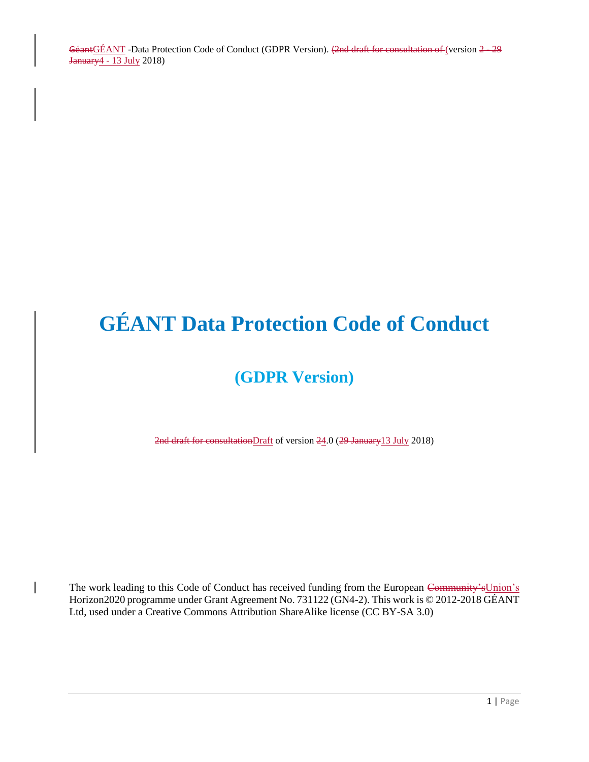# **GÉANT Data Protection Code of Conduct**

# **(GDPR Version)**

2nd draft for consultationDraft of version 24.0 (29 January13 July 2018)

The work leading to this Code of Conduct has received funding from the European Community's Union's Horizon2020 programme under Grant Agreement No. 731122 (GN4-2). This work is © 2012-2018 GÉANT Ltd, used under a Creative Commons Attribution ShareAlike license (CC BY-SA 3.0)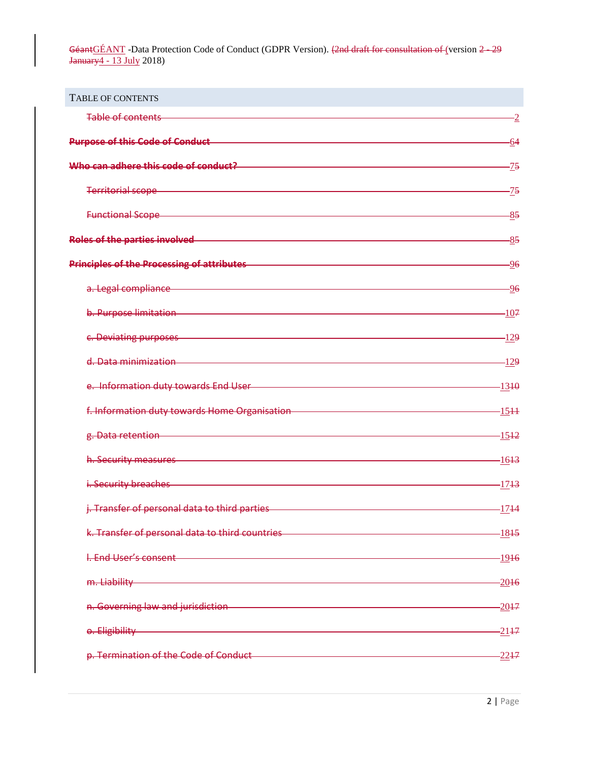<span id="page-1-0"></span>

| <b>TABLE OF CONTENTS</b>                                                                                                                                                                                                             |                   |
|--------------------------------------------------------------------------------------------------------------------------------------------------------------------------------------------------------------------------------------|-------------------|
| Table of contents                                                                                                                                                                                                                    | -2                |
| Purpose of this Code of Conduct National Conduct Art and Conduct Art and Conduct Art and Conduct Art and Conduct                                                                                                                     | -64               |
| Who can adhere this code of conduct?                                                                                                                                                                                                 | -75               |
| Territorial scope and the control of the control of the control of the control of the control of the control o                                                                                                                       | -75               |
| <b>Functional Scope</b>                                                                                                                                                                                                              | $-85$             |
| Roles of the parties involved <b>Example 2014</b>                                                                                                                                                                                    | $-85$             |
| <b>Principles of the Processing of attributes</b>                                                                                                                                                                                    | $-96$             |
| a. Legal compliance <b>compliance</b> and the set of the set of the set of the set of the set of the set of the set of the set of the set of the set of the set of the set of the set of the set of the set of the set of the set o  | -96               |
| b. Purpose limitation entrance and a state of the contract of the contract of the contract of the contract of                                                                                                                        | $-107$            |
| c. Deviating purposes experience and the contract of the contract of the contract of the contract of the contract of                                                                                                                 | -129              |
| d. Data minimization and a structure of the control of the control of the control of the control of the control of the control of the control of the control of the control of the control of the control of the control of th       | $-129$            |
| e. Information duty towards End User                                                                                                                                                                                                 | -13 <del>10</del> |
| f. Information duty towards Home Organisation                                                                                                                                                                                        | $-1544$           |
| g. Data retention                                                                                                                                                                                                                    | -15 <del>12</del> |
| h. Security measures and the control of the second control of the security measures                                                                                                                                                  | -16 <del>13</del> |
| i. Security breaches <b>Executive Contract Contract Contract Contract Contract Contract Contract Contract Contract</b>                                                                                                               | -17 <del>13</del> |
| j. Transfer of personal data to third parties <b>container and property and parties</b>                                                                                                                                              | $-1744$           |
| k. Transfer of personal data to third countries <b>Acceptance of the contract of the contract of the contract of t</b>                                                                                                               | $-1815$           |
| I. End User's consent and the contract of the contract of the contract of the contract of the contract of the                                                                                                                        | $-1916$           |
| m. Liability and the contract of the contract of the contract of the contract of the contract of the contract of the contract of the contract of the contract of the contract of the contract of the contract of the contract        | $-2016$           |
| n. Governing law and jurisdiction <b>contained a manufacture of the contact of the contact of the contact of the contact of the contact of the contact of the contact of the contact of the contact of the contact of the contac</b> | $-2017$           |
| o. Eligibility and a state of the control of the control of the control of the control of the control of the c                                                                                                                       | $-2117$           |
| p. Termination of the Code of Conduct entertainment and the Code of Conduct                                                                                                                                                          | $-22 + 7$         |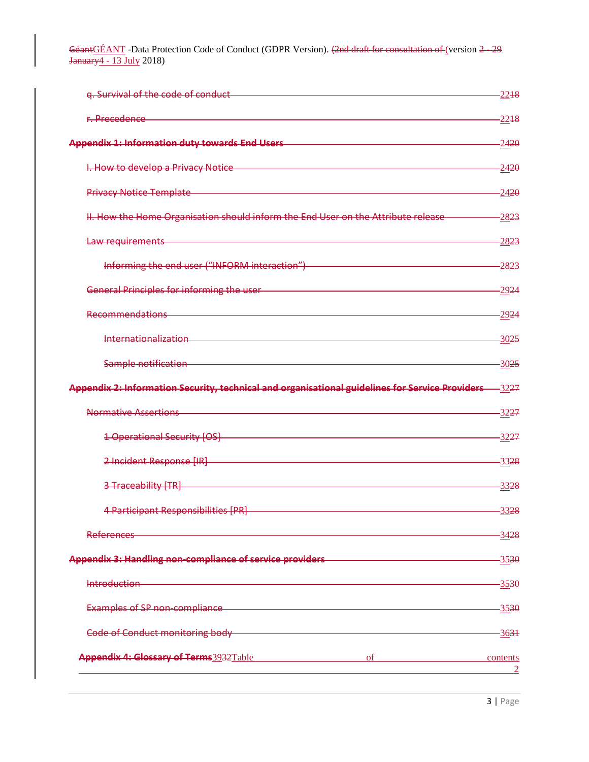| q. Survival of the code of conduct                                                                                                | $-22+8$                    |
|-----------------------------------------------------------------------------------------------------------------------------------|----------------------------|
| r. Precedence                                                                                                                     | $-22+8$                    |
| <b>Appendix 1: Information duty towards End Users</b>                                                                             | $-2420$                    |
| I. How to develop a Privacy Notice                                                                                                | $-2420$                    |
| <b>Privacy Notice Template</b>                                                                                                    | $-2420$                    |
| II. How the Home Organisation should inform the End User on the Attribute release                                                 | $-2823$                    |
| Law requirements                                                                                                                  | $-2823$                    |
| Informing the end user ("INFORM interaction")                                                                                     | $-2823$                    |
| General Principles for informing the user-                                                                                        | -29 <del>24</del>          |
| <b>Recommendations</b>                                                                                                            | -29 <del>24</del>          |
| Internationalization                                                                                                              | $-3025$                    |
| Sample notification                                                                                                               | $-30.25$                   |
| Appendix 2: Information Security, technical and organisational guidelines for Service Providers-                                  | -32 <del>27</del>          |
| <b>Normative Assertions</b>                                                                                                       | -32 <del>27</del>          |
| <b>1 Operational Security [OS]</b>                                                                                                | -32 <del>27</del>          |
| 2 Incident Response [IR]                                                                                                          | $-3328$                    |
| 3 Traceability [TR]                                                                                                               | 3328                       |
| 4 Participant Responsibilities [PR]                                                                                               | $-3328$                    |
| <u> 1989 - Johann Barn, mars ann an t-Amhain an t-Amhain an t-Amhain an t-Amhain an t-Amhain an t-Amhain an t-A</u><br>References | 3428                       |
| Appendix 3: Handling non-compliance of service providers                                                                          | $-3530$                    |
|                                                                                                                                   | $-3530$                    |
| Examples of SP non-compliance                                                                                                     | $-3530$                    |
| Code of Conduct monitoring body <b>contained a manufacture of Conduct monitoring</b> body                                         | $-3631$                    |
| Appendix 4: Glossary of Terms3932Table<br>$\sigma$                                                                                | contents<br>$\overline{2}$ |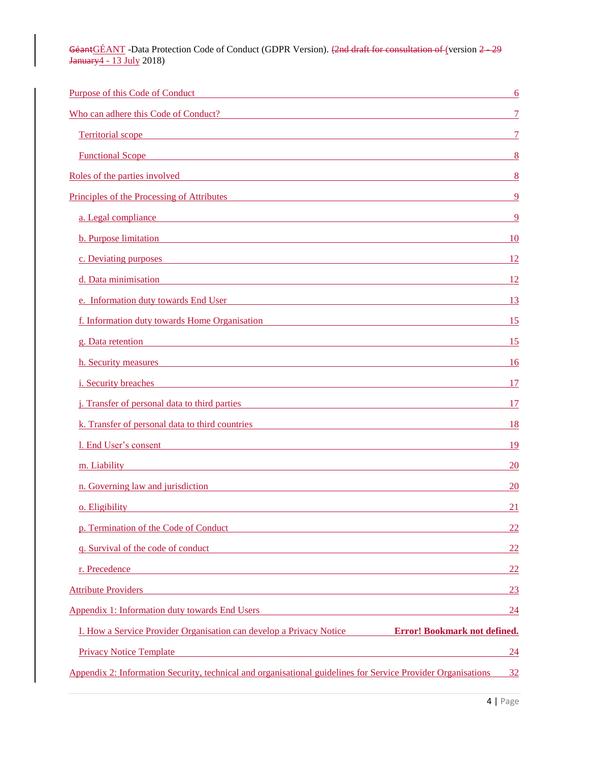| Purpose of this Code of Conduct <b>Exercise 2018</b> and 2019 and 2019 and 2019 and 2019 and 2019 and 2019 and 2019 and 2019 and 2019 and 2019 and 2019 and 2019 and 2019 and 2019 and 2019 and 2019 and 2019 and 2019 and 2019 and      | 6               |
|------------------------------------------------------------------------------------------------------------------------------------------------------------------------------------------------------------------------------------------|-----------------|
| Who can adhere this Code of Conduct?                                                                                                                                                                                                     |                 |
| Territorial scope and the contract of the contract of the contract of the contract of the contract of the contract of the contract of the contract of the contract of the contract of the contract of the contract of the cont           |                 |
| <b>Functional Scope Exercise 2.1 The Scotland Scope <i>Contract Contract Contract Contract Contract Contract Contract Contract Contract Contract Contract Contract Contract Contract Contract Contract Contract Contract Contr</i></b>   | 8               |
| Roles of the parties involved <b>EXECUTE:</b> Note that the same of the parties involved                                                                                                                                                 | -8              |
| <u>Principles of the Processing of Attributes</u>                                                                                                                                                                                        |                 |
| a. Legal compliance and the contract of the contract of the contract of the contract of the contract of the contract of the contract of the contract of the contract of the contract of the contract of the contract of the co           | -9              |
| <b>b.</b> Purpose limitation <b>b.</b> Purpose limitation                                                                                                                                                                                | <sup>10</sup>   |
| c. Deviating purposes expression and the contract of the contract of the contract of the contract of the contract of the contract of the contract of the contract of the contract of the contract of the contract of the contr           | 12              |
| d. Data minimisation and the contract of the contract of the contract of the contract of the contract of the contract of the contract of the contract of the contract of the contract of the contract of the contract of the c           | <sup>12</sup>   |
| e. Information duty towards End User                                                                                                                                                                                                     | 13              |
| <u>f. Information duty towards Home Organisation</u>                                                                                                                                                                                     | 15              |
| g. Data retention and the contract of the contract of the contract of the contract of the contract of the contract of the contract of the contract of the contract of the contract of the contract of the contract of the cont           | 15              |
| h. Security measures and the security measures and the security measures are seen to be a security measures of the second security of the second second second second second second second second second second second second            | <sup>16</sup>   |
| <u>i. Security breaches</u> and the contract of the contract of the contract of the contract of the contract of the contract of the contract of the contract of the contract of the contract of the contract of the contract of the      | 17              |
| <i>j.</i> Transfer of personal data to third parties <b>Example 2014</b> and 2014 and 2014 and 2014 and 2014 and 2014 and 2014 and 2014 and 2014 and 2014 and 2014 and 2014 and 2014 and 2014 and 2014 and 2014 and 2014 and 2014 and 20 | 17              |
| k. Transfer of personal data to third countries <b>Example 2018</b> 2019 12:30 AM                                                                                                                                                        | 18              |
| 1. End User's consent                                                                                                                                                                                                                    | 19              |
| m. Liability<br><u> 1980 - Johann Stoff, fransk politik (d. 1980)</u>                                                                                                                                                                    | <b>20</b>       |
| n. Governing law and jurisdiction and the same state of the same state of the same state of the same state of the same state of the same state of the same state of the same state of the same state of the same state of the            | <b>20</b>       |
| o. Eligibility and the contract of the contract of the contract of the contract of the contract of the contract of the contract of the contract of the contract of the contract of the contract of the contract of the contrac           | 21              |
| p. Termination of the Code of Conduct                                                                                                                                                                                                    | <u>22</u>       |
| q. Survival of the code of conduct quality of the code of conduct                                                                                                                                                                        | $\overline{22}$ |
| r. Precedence<br><u> 1989 - Johann Stoff, amerikansk politiker (d. 1989)</u>                                                                                                                                                             | <u>22</u>       |
| <b>Attribute Providers</b><br><u> 1989 - Johann Stoff, amerikansk politiker (* 1908)</u>                                                                                                                                                 | 23              |
| <u>Appendix 1: Information duty towards End Users</u>                                                                                                                                                                                    | <u>24</u>       |
| I. How a Service Provider Organisation can develop a Privacy Notice <b>Error! Bookmark not defined.</b>                                                                                                                                  |                 |
| <u> 1980 - Johann Stoff, fransk politik (d. 1980)</u><br><b>Privacy Notice Template</b>                                                                                                                                                  | 24              |
| Appendix 2: Information Security, technical and organisational guidelines for Service Provider Organisations                                                                                                                             | 32              |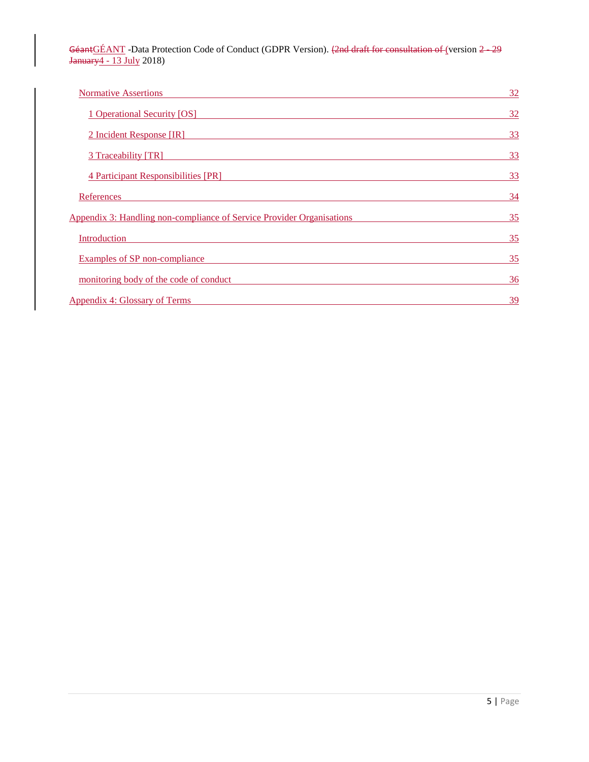| <b>Normative Assertions</b>                                           | 32 |
|-----------------------------------------------------------------------|----|
| 1 Operational Security [OS]                                           | 32 |
| 2 Incident Response [IR]                                              | 33 |
| 3 Traceability [TR]                                                   | 33 |
| <b>4 Participant Responsibilities [PR]</b>                            | 33 |
| References                                                            | 34 |
| Appendix 3: Handling non-compliance of Service Provider Organisations | 35 |
| Introduction                                                          | 35 |
| Examples of SP non-compliance                                         | 35 |
| monitoring body of the code of conduct                                | 36 |
| <b>Appendix 4: Glossary of Terms</b>                                  | 39 |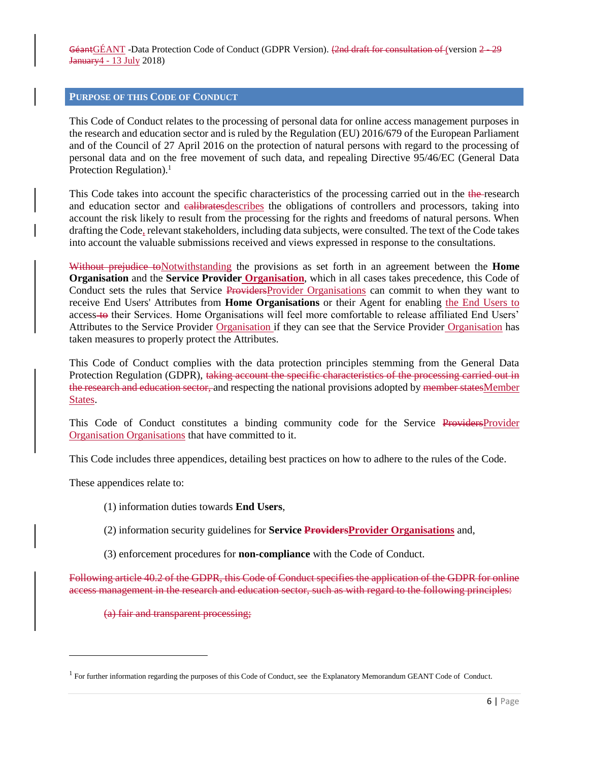#### <span id="page-5-0"></span>**PURPOSE OF THIS CODE OF CONDUCT**

This Code of Conduct relates to the processing of personal data for online access management purposes in the research and education sector and is ruled by the Regulation (EU) 2016/679 of the European Parliament and of the Council of 27 April 2016 on the protection of natural persons with regard to the processing of personal data and on the free movement of such data, and repealing Directive 95/46/EC (General Data Protection Regulation). $<sup>1</sup>$ </sup>

This Code takes into account the specific characteristics of the processing carried out in the the-research and education sector and ealibrates describes the obligations of controllers and processors, taking into account the risk likely to result from the processing for the rights and freedoms of natural persons. When drafting the Code, relevant stakeholders, including data subjects, were consulted. The text of the Code takes into account the valuable submissions received and views expressed in response to the consultations.

Without prejudice toNotwithstanding the provisions as set forth in an agreement between the **Home Organisation** and the **Service Provider Organisation**, which in all cases takes precedence, this Code of Conduct sets the rules that Service ProvidersProvider Organisations can commit to when they want to receive End Users' Attributes from **Home Organisations** or their Agent for enabling the End Users to access to their Services. Home Organisations will feel more comfortable to release affiliated End Users' Attributes to the Service Provider Organisation if they can see that the Service Provider Organisation has taken measures to properly protect the Attributes.

This Code of Conduct complies with the data protection principles stemming from the General Data Protection Regulation (GDPR), taking account the specific characteristics of the processing carried out in the research and education sector, and respecting the national provisions adopted by member statesMember States.

This Code of Conduct constitutes a binding community code for the Service ProvidersProvider Organisation Organisations that have committed to it.

This Code includes three appendices, detailing best practices on how to adhere to the rules of the Code.

These appendices relate to:

l

- (1) information duties towards **End Users**,
- (2) information security guidelines for **Service ProvidersProvider Organisations** and,
- (3) enforcement procedures for **non-compliance** with the Code of Conduct.

Following article 40.2 of the GDPR, this Code of Conduct specifies the application of the GDPR for online access management in the research and education sector, such as with regard to the following principles:

(a) fair and transparent processing;

<sup>&</sup>lt;sup>1</sup> For further information regarding the purposes of this Code of Conduct, see the Explanatory Memorandum GEANT Code of Conduct.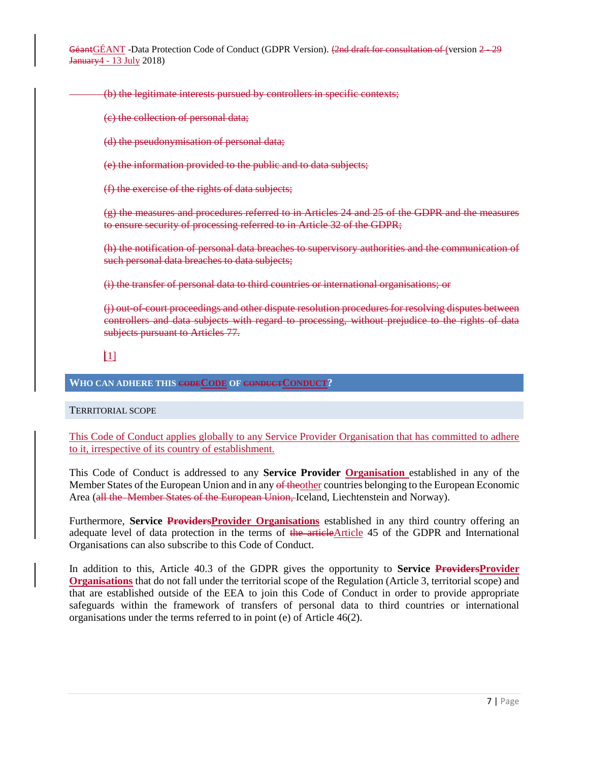(b) the legitimate interests pursued by controllers in specific contexts;

(c) the collection of personal data;

(d) the pseudonymisation of personal data;

(e) the information provided to the public and to data subjects;

(f) the exercise of the rights of data subjects;

(g) the measures and procedures referred to in Articles 24 and 25 of the GDPR and the measures to ensure security of processing referred to in Article 32 of the GDPR;

(h) the notification of personal data breaches to supervisory authorities and the communication of such personal data breaches to data subjects;

(i) the transfer of personal data to third countries or international organisations; or

(i) out-of-court proceedings and other dispute resolution procedures for resolving disputes between controllers and data subjects with regard to processing, without prejudice to the rights of data subjects pursuant to Articles 77.

[1]

<span id="page-6-0"></span>**WHO CAN ADHERE THIS CODECODE OF CONDUCTCONDUCT?**

<span id="page-6-1"></span>TERRITORIAL SCOPE

This Code of Conduct applies globally to any Service Provider Organisation that has committed to adhere to it, irrespective of its country of establishment.

This Code of Conduct is addressed to any **Service Provider Organisation** established in any of the Member States of the European Union and in any of the other countries belonging to the European Economic Area (all the Member States of the European Union, Iceland, Liechtenstein and Norway).

Furthermore, **Service Providers Provider Organisations** established in any third country offering an adequate level of data protection in the terms of the articleArticle 45 of the GDPR and International Organisations can also subscribe to this Code of Conduct.

In addition to this, Article 40.3 of the GDPR gives the opportunity to **Service ProvidersProvider Organisations** that do not fall under the territorial scope of the Regulation (Article 3, territorial scope) and that are established outside of the EEA to join this Code of Conduct in order to provide appropriate safeguards within the framework of transfers of personal data to third countries or international organisations under the terms referred to in point (e) of Article 46(2).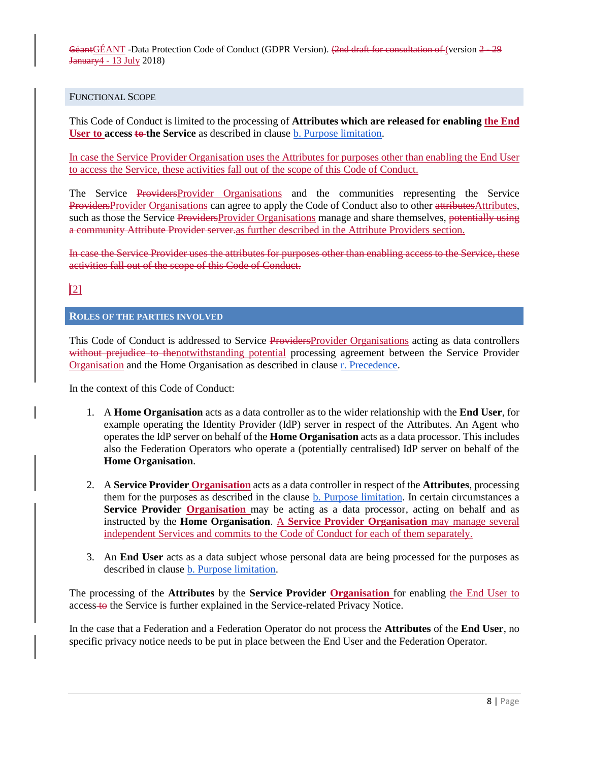#### <span id="page-7-0"></span>FUNCTIONAL SCOPE

This Code of Conduct is limited to the processing of **Attributes which are released for enabling the End User to access to the Service** as described in clause [b. Purpose limitation.](#page-9-0)

In case the Service Provider Organisation uses the Attributes for purposes other than enabling the End User to access the Service, these activities fall out of the scope of this Code of Conduct.

The Service ProvidersProvider Organisations and the communities representing the Service ProvidersProvider Organisations can agree to apply the Code of Conduct also to other attributesAttributes, such as those the Service ProvidersProvider Organisations manage and share themselves, potentially using a community Attribute Provider server.as further described in the [Attribute Providers](#page-22-0) section.

In case the Service Provider uses the attributes for purposes other than enabling access to the Service, these activities fall out of the scope of this Code of Conduct.

# $\sqrt{2}$

# <span id="page-7-1"></span>**ROLES OF THE PARTIES INVOLVED**

This Code of Conduct is addressed to Service ProvidersProvider Organisations acting as data controllers without prejudice to thenotwithstanding potential processing agreement between the Service Provider Organisation and the Home Organisation as described in clause [r. Precedence.](#page-21-3)

In the context of this Code of Conduct:

- 1. A **Home Organisation** acts as a data controller as to the wider relationship with the **End User**, for example operating the Identity Provider (IdP) server in respect of the Attributes. An Agent who operates the IdP server on behalf of the **Home Organisation** acts as a data processor. This includes also the Federation Operators who operate a (potentially centralised) IdP server on behalf of the **Home Organisation**.
- 2. A **Service Provider Organisation** acts as a data controller in respect of the **Attributes**, processing them for the purposes as described in the clause **b**. Purpose [limitation.](#page-9-0) In certain circumstances a **Service Provider Organisation** may be acting as a data processor, acting on behalf and as instructed by the **Home Organisation**. A **Service Provider Organisation** may manage several independent Services and commits to the Code of Conduct for each of them separately.
- 3. An **End User** acts as a data subject whose personal data are being processed for the purposes as described in clause [b. Purpose limitation.](#page-9-0)

The processing of the **Attributes** by the **Service Provider Organisation** for enabling the End User to access to the Service is further explained in the Service-related Privacy Notice.

In the case that a Federation and a Federation Operator do not process the **Attributes** of the **End User**, no specific privacy notice needs to be put in place between the End User and the Federation Operator.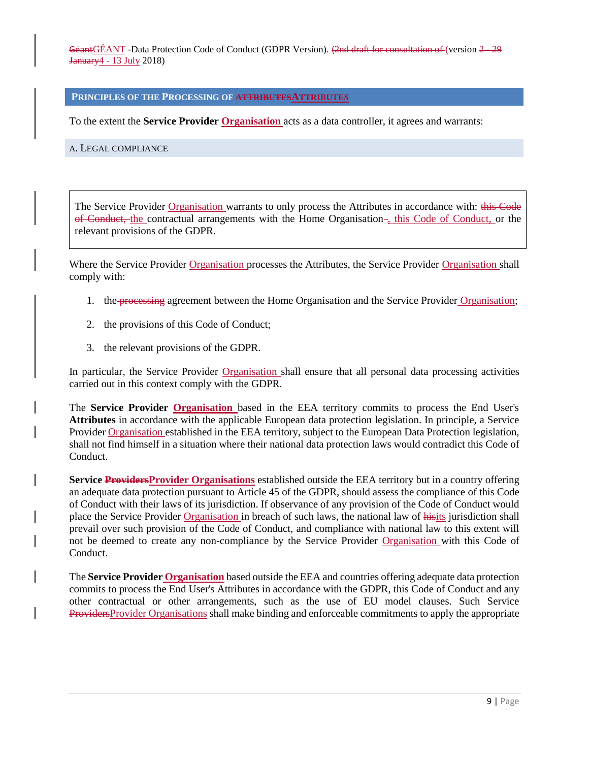#### <span id="page-8-0"></span>**PRINCIPLES OF THE PROCESSING OF ATTRIBUTESATTRIBUTES**

To the extent the **Service Provider Organisation** acts as a data controller, it agrees and warrants:

<span id="page-8-1"></span>A. LEGAL COMPLIANCE

The Service Provider Organisation warrants to only process the Attributes in accordance with: this Code of Conduct, the contractual arrangements with the Home Organisation-, this Code of Conduct, or the relevant provisions of the GDPR.

Where the Service Provider Organisation processes the Attributes, the Service Provider Organisation shall comply with:

- 1. the processing agreement between the Home Organisation and the Service Provider Organisation;
- 2. the provisions of this Code of Conduct;
- 3. the relevant provisions of the GDPR.

In particular, the Service Provider Organisation shall ensure that all personal data processing activities carried out in this context comply with the GDPR.

The **Service Provider Organisation** based in the EEA territory commits to process the End User's **Attributes** in accordance with the applicable European data protection legislation. In principle, a Service Provider Organisation established in the EEA territory, subject to the European Data Protection legislation, shall not find himself in a situation where their national data protection laws would contradict this Code of Conduct.

**Service Providers Provider Organisations** established outside the EEA territory but in a country offering an adequate data protection pursuant to Article 45 of the GDPR, should assess the compliance of this Code of Conduct with their laws of its jurisdiction. If observance of any provision of the Code of Conduct would place the Service Provider Organisation in breach of such laws, the national law of hisits jurisdiction shall prevail over such provision of the Code of Conduct, and compliance with national law to this extent will not be deemed to create any non-compliance by the Service Provider Organisation with this Code of Conduct.

The **Service Provider Organisation** based outside the EEA and countries offering adequate data protection commits to process the End User's Attributes in accordance with the GDPR, this Code of Conduct and any other contractual or other arrangements, such as the use of EU model clauses. Such Service ProvidersProvider Organisations shall make binding and enforceable commitments to apply the appropriate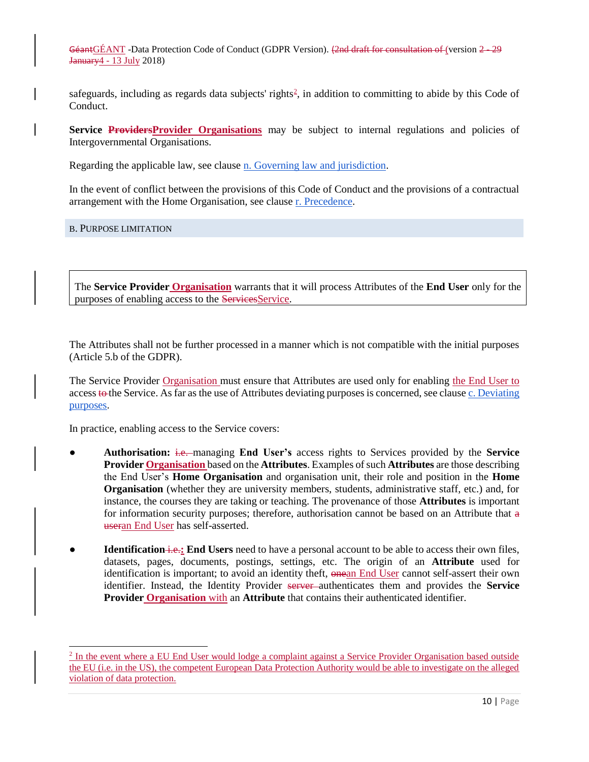safeguards, including as regards data subjects' rights $\frac{2}{3}$ , in addition to committing to abide by this Code of Conduct.

Service ProvidersProvider Organisations may be subject to internal regulations and policies of Intergovernmental Organisations.

Regarding the applicable law, see clause [n. Governing law and jurisdiction.](#page-19-2)

In the event of conflict between the provisions of this Code of Conduct and the provisions of a contractual arrangement with the Home Organisation, see clause [r. Precedence.](#page-21-3)

<span id="page-9-0"></span>B. PURPOSE LIMITATION

 $\overline{a}$ 

The **Service Provider Organisation** warrants that it will process Attributes of the **End User** only for the purposes of enabling access to the ServicesService.

The Attributes shall not be further processed in a manner which is not compatible with the initial purposes (Article 5.b of the GDPR).

The Service Provider Organisation must ensure that Attributes are used only for enabling the End User to access to the Service. As far as the use of Attributes deviating purposes is concerned, see clause [c. Deviating](#page-11-0)  [purposes.](#page-11-0)

In practice, enabling access to the Service covers:

- **Authorisation:** i.e. managing **End User's** access rights to Services provided by the **Service Provider Organisation** based on the **Attributes**. Examples of such **Attributes** are those describing the End User's **Home Organisation** and organisation unit, their role and position in the **Home Organisation** (whether they are university members, students, administrative staff, etc.) and, for instance, the courses they are taking or teaching. The provenance of those **Attributes** is important for information security purposes; therefore, authorisation cannot be based on an Attribute that  $\alpha$ useran End User has self-asserted.
- **Identification i.e.: End Users** need to have a personal account to be able to access their own files, datasets, pages, documents, postings, settings, etc. The origin of an **Attribute** used for identification is important; to avoid an identity theft, onean End User cannot self-assert their own identifier. Instead, the Identity Provider server authenticates them and provides the **Service Provider Organisation** with an **Attribute** that contains their authenticated identifier.

<sup>&</sup>lt;sup>2</sup> In the event where a EU End User would lodge a complaint against a Service Provider Organisation based outside the EU (i.e. in the US), the competent European Data Protection Authority would be able to investigate on the alleged violation of data protection.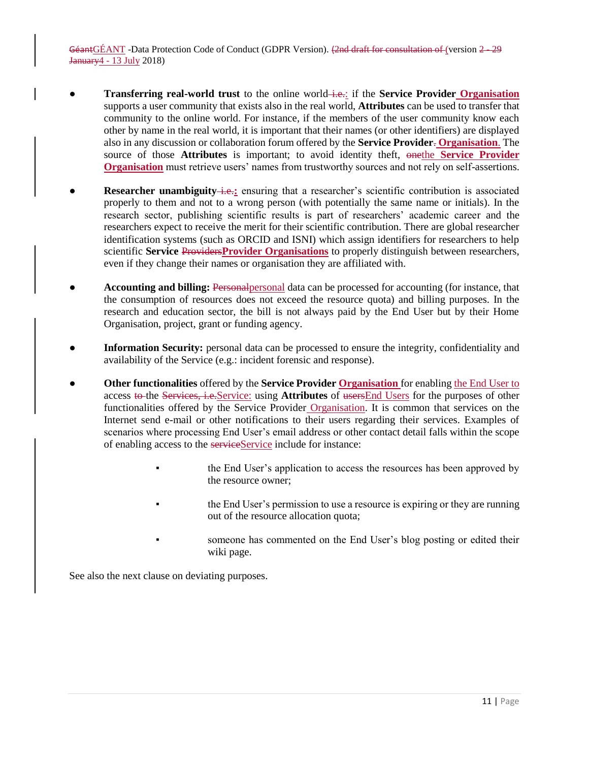- **Transferring real-world trust** to the online world—**i.e.**: if the **Service Provider** Organisation supports a user community that exists also in the real world, **Attributes** can be used to transfer that community to the online world. For instance, if the members of the user community know each other by name in the real world, it is important that their names (or other identifiers) are displayed also in any discussion or collaboration forum offered by the **Service Provider**. **Organisation**. The source of those **Attributes** is important; to avoid identity theft, onethe **Service Provider Organisation** must retrieve users' names from trustworthy sources and not rely on self-assertions.
- **Researcher unambiguity** i.e.: ensuring that a researcher's scientific contribution is associated properly to them and not to a wrong person (with potentially the same name or initials). In the research sector, publishing scientific results is part of researchers' academic career and the researchers expect to receive the merit for their scientific contribution. There are global researcher identification systems (such as ORCID and ISNI) which assign identifiers for researchers to help scientific **Service** Providers**Provider Organisations** to properly distinguish between researchers, even if they change their names or organisation they are affiliated with.
- Accounting and billing: Personal personal data can be processed for accounting (for instance, that the consumption of resources does not exceed the resource quota) and billing purposes. In the research and education sector, the bill is not always paid by the End User but by their Home Organisation, project, grant or funding agency.
- **Information Security:** personal data can be processed to ensure the integrity, confidentiality and availability of the Service (e.g.: incident forensic and response).
- **•** Other functionalities offered by the **Service Provider Organisation** for enabling the End User to access to the Services, i.e.Service: using **Attributes** of usersEnd Users for the purposes of other functionalities offered by the Service Provider Organisation. It is common that services on the Internet send e-mail or other notifications to their users regarding their services. Examples of scenarios where processing End User's email address or other contact detail falls within the scope of enabling access to the serviceService include for instance:
	- the End User's application to access the resources has been approved by the resource owner;
	- the End User's permission to use a resource is expiring or they are running out of the resource allocation quota;
	- someone has commented on the End User's blog posting or edited their wiki page.

See also the next clause on deviating purposes.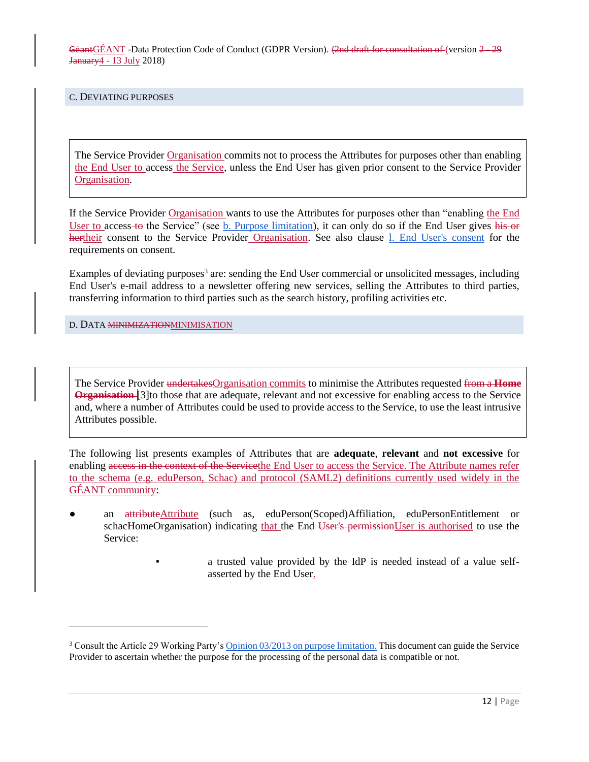<span id="page-11-0"></span>C. DEVIATING PURPOSES

The Service Provider Organisation commits not to process the Attributes for purposes other than enabling the End User to access the Service, unless the End User has given prior consent to the Service Provider Organisation.

If the Service Provider Organisation wants to use the Attributes for purposes other than "enabling the End User to access-to the Service" (see [b. Purpose limitation\)](#page-9-0), it can only do so if the End User gives his or hertheir consent to the Service Provider Organisation. See also clause 1. End User's consent for the requirements on consent.

Examples of deviating purposes<sup>3</sup> are: sending the End User commercial or unsolicited messages, including End User's e-mail address to a newsletter offering new services, selling the Attributes to third parties, transferring information to third parties such as the search history, profiling activities etc.

<span id="page-11-1"></span>D. DATA MINIMIZATIONMINIMISATION

l

The Service Provider undertakesOrganisation commits to minimise the Attributes requested from a **Home Organisation** [3] to those that are adequate, relevant and not excessive for enabling access to the Service and, where a number of Attributes could be used to provide access to the Service, to use the least intrusive Attributes possible.

The following list presents examples of Attributes that are **adequate**, **relevant** and **not excessive** for enabling access in the context of the Servicethe End User to access the Service. The Attribute names refer to the schema (e.g. eduPerson, Schac) and protocol (SAML2) definitions currently used widely in the GÉANT community:

- an attributeAttribute (such as, eduPerson(Scoped)Affiliation, eduPersonEntitlement or schacHomeOrganisation) indicating that the End User's permissionUser is authorised to use the Service:
	- a trusted value provided by the IdP is needed instead of a value selfasserted by the End User.

<sup>&</sup>lt;sup>3</sup> Consult the Article 29 Working Party's [Opinion 03/2013 on purpose limitation.](http://ec.europa.eu/justice/data-protection/article-29/documentation/opinion-recommendation/files/2013/wp203_en.pdf) This document can guide the Service Provider to ascertain whether the purpose for the processing of the personal data is compatible or not.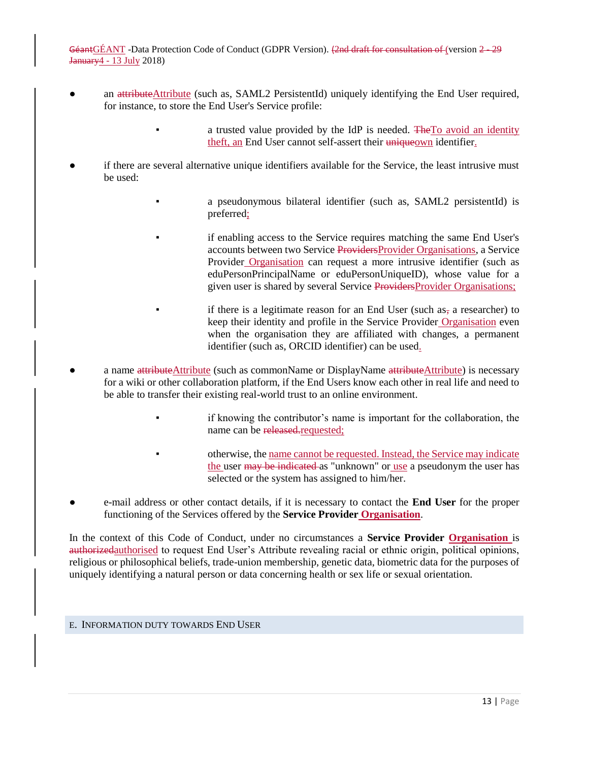- an attributeAttribute (such as, SAML2 PersistentId) uniquely identifying the End User required, for instance, to store the End User's Service profile:
	- a trusted value provided by the IdP is needed. The To avoid an identity theft, an End User cannot self-assert their uniqueown identifier.
- if there are several alternative unique identifiers available for the Service, the least intrusive must be used:
	- a pseudonymous bilateral identifier (such as, SAML2 persistentId) is preferred;
	- if enabling access to the Service requires matching the same End User's accounts between two Service ProvidersProvider Organisations, a Service Provider Organisation can request a more intrusive identifier (such as eduPersonPrincipalName or eduPersonUniqueID), whose value for a given user is shared by several Service ProvidersProvider Organisations;
	- if there is a legitimate reason for an End User (such as, a researcher) to keep their identity and profile in the Service Provider Organisation even when the organisation they are affiliated with changes, a permanent identifier (such as, ORCID identifier) can be used.
- a name attributeAttribute (such as commonName or DisplayName attributeAttribute) is necessary for a wiki or other collaboration platform, if the End Users know each other in real life and need to be able to transfer their existing real-world trust to an online environment.
	- if knowing the contributor's name is important for the collaboration, the name can be released.requested;
	- otherwise, the name cannot be requested. Instead, the Service may indicate the user may be indicated as "unknown" or use a pseudonym the user has selected or the system has assigned to him/her.
- e-mail address or other contact details, if it is necessary to contact the **End User** for the proper functioning of the Services offered by the **Service Provider Organisation**.

In the context of this Code of Conduct, under no circumstances a **Service Provider Organisation** is authorizedauthorised to request End User's Attribute revealing racial or ethnic origin, political opinions, religious or philosophical beliefs, trade-union membership, genetic data, biometric data for the purposes of uniquely identifying a natural person or data concerning health or sex life or sexual orientation.

#### <span id="page-12-0"></span>E. INFORMATION DUTY TOWARDS END USER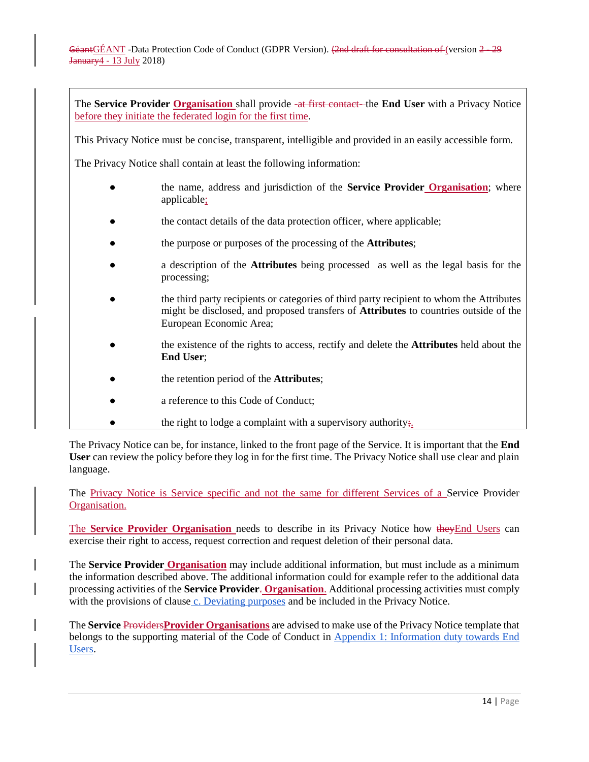The **Service Provider Organisation** shall provide -at first contact- the **End User** with a Privacy Notice before they initiate the federated login for the first time.

This Privacy Notice must be concise, transparent, intelligible and provided in an easily accessible form.

The Privacy Notice shall contain at least the following information:

- the name, address and jurisdiction of the **Service Provider Organisation**; where applicable;
- the contact details of the data protection officer, where applicable;
- the purpose or purposes of the processing of the **Attributes**;
- a description of the **Attributes** being processed as well as the legal basis for the processing;
- the third party recipients or categories of third party recipient to whom the Attributes might be disclosed, and proposed transfers of **Attributes** to countries outside of the European Economic Area;
- the existence of the rights to access, rectify and delete the **Attributes** held about the **End User**;
- the retention period of the **Attributes**;
- a reference to this Code of Conduct;
- $\bullet$  the right to lodge a complaint with a supervisory authority;

The Privacy Notice can be, for instance, linked to the front page of the Service. It is important that the **End User** can review the policy before they log in for the first time. The Privacy Notice shall use clear and plain language.

The Privacy Notice is Service specific and not the same for different Services of a Service Provider Organisation.

The **Service Provider Organisation** needs to describe in its Privacy Notice how they End Users can exercise their right to access, request correction and request deletion of their personal data.

The **Service Provider Organisation** may include additional information, but must include as a minimum the information described above. The additional information could for example refer to the additional data processing activities of the **Service Provider**. **Organisation**. Additional processing activities must comply with the provisions of clause [c. Deviating purposes](#page-11-0) and be included in the Privacy Notice.

The **Service** Providers**Provider Organisations** are advised to make use of the Privacy Notice template that belongs to the supporting material of the Code of Conduct in [Appendix 1: Information duty towards End](#page-23-0)  [Users.](#page-23-0)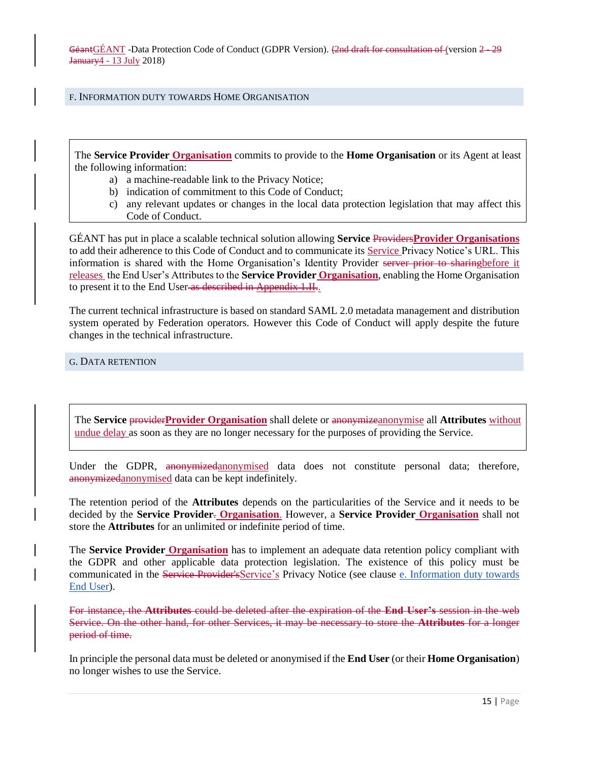#### <span id="page-14-0"></span>F. INFORMATION DUTY TOWARDS HOME ORGANISATION

The **Service Provider Organisation** commits to provide to the **Home Organisation** or its Agent at least the following information:

- a) a machine-readable link to the Privacy Notice;
- b) indication of commitment to this Code of Conduct;
- c) any relevant updates or changes in the local data protection legislation that may affect this Code of Conduct.

GÉANT has put in place a scalable technical solution allowing **Service** Providers**Provider Organisations** to add their adherence to this Code of Conduct and to communicate its Service Privacy Notice's URL. This information is shared with the Home Organisation's Identity Provider server prior to sharingbefore it releases the End User's Attributes to the **Service Provider Organisation**, enabling the Home Organisation to present it to the End User as described in Appendix 1.II..

The current technical infrastructure is based on standard SAML 2.0 metadata management and distribution system operated by Federation operators. However this Code of Conduct will apply despite the future changes in the technical infrastructure.

<span id="page-14-1"></span>G. DATA RETENTION

The **Service** provider**Provider Organisation** shall delete or anonymizeanonymise all **Attributes** without undue delay as soon as they are no longer necessary for the purposes of providing the Service.

Under the GDPR, anonymizedanonymised data does not constitute personal data; therefore, anonymizedanonymised data can be kept indefinitely.

The retention period of the **Attributes** depends on the particularities of the Service and it needs to be decided by the **Service Provider**. **Organisation**. However, a **Service Provider Organisation** shall not store the **Attributes** for an unlimited or indefinite period of time.

The **Service Provider Organisation** has to implement an adequate data retention policy compliant with the GDPR and other applicable data protection legislation. The existence of this policy must be communicated in the Service Provider's Service's Privacy Notice (see clause e. Information duty towards End User).

For instance, the **Attributes** could be deleted after the expiration of the **End User's** session in the web Service. On the other hand, for other Services, it may be necessary to store the **Attributes** for a longer period of time.

In principle the personal data must be deleted or anonymised if the **End User** (or their **Home Organisation**) no longer wishes to use the Service.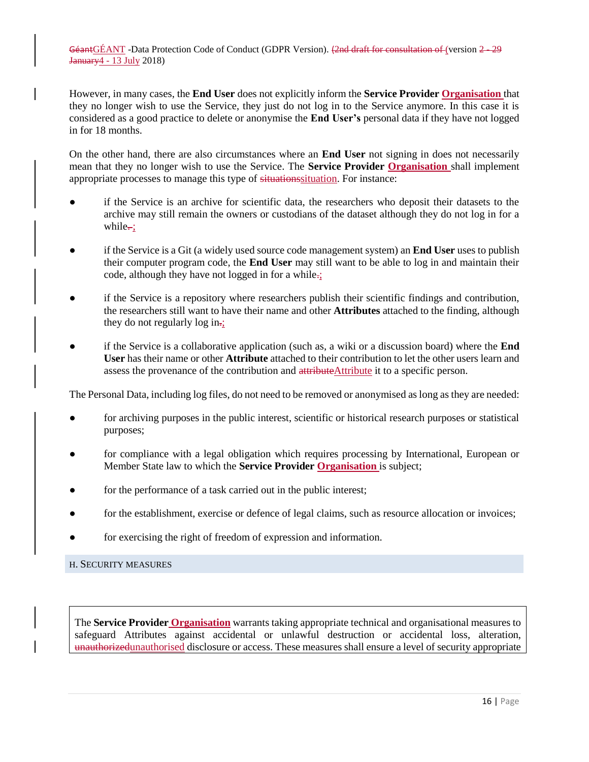However, in many cases, the **End User** does not explicitly inform the **Service Provider Organisation** that they no longer wish to use the Service, they just do not log in to the Service anymore. In this case it is considered as a good practice to delete or anonymise the **End User's** personal data if they have not logged in for 18 months.

On the other hand, there are also circumstances where an **End User** not signing in does not necessarily mean that they no longer wish to use the Service. The **Service Provider Organisation** shall implement appropriate processes to manage this type of situationssituation. For instance:

- if the Service is an archive for scientific data, the researchers who deposit their datasets to the archive may still remain the owners or custodians of the dataset although they do not log in for a while $\div$ :
- if the Service is a Git (a widely used source code management system) an **End User** uses to publish their computer program code, the **End User** may still want to be able to log in and maintain their code, although they have not logged in for a while.;
- if the Service is a repository where researchers publish their scientific findings and contribution, the researchers still want to have their name and other **Attributes** attached to the finding, although they do not regularly  $\log in_{\tau_2}$ .
- if the Service is a collaborative application (such as, a wiki or a discussion board) where the **End User** has their name or other **Attribute** attached to their contribution to let the other users learn and assess the provenance of the contribution and attributeAttribute it to a specific person.

The Personal Data, including log files, do not need to be removed or anonymised as long as they are needed:

- for archiving purposes in the public interest, scientific or historical research purposes or statistical purposes;
- for compliance with a legal obligation which requires processing by International, European or Member State law to which the **Service Provider Organisation** is subject;
- for the performance of a task carried out in the public interest;
- for the establishment, exercise or defence of legal claims, such as resource allocation or invoices;
- for exercising the right of freedom of expression and information.

<span id="page-15-0"></span>H. SECURITY MEASURES

The **Service Provider Organisation** warrants taking appropriate technical and organisational measures to safeguard Attributes against accidental or unlawful destruction or accidental loss, alteration, unauthorizedunauthorised disclosure or access. These measures shall ensure a level of security appropriate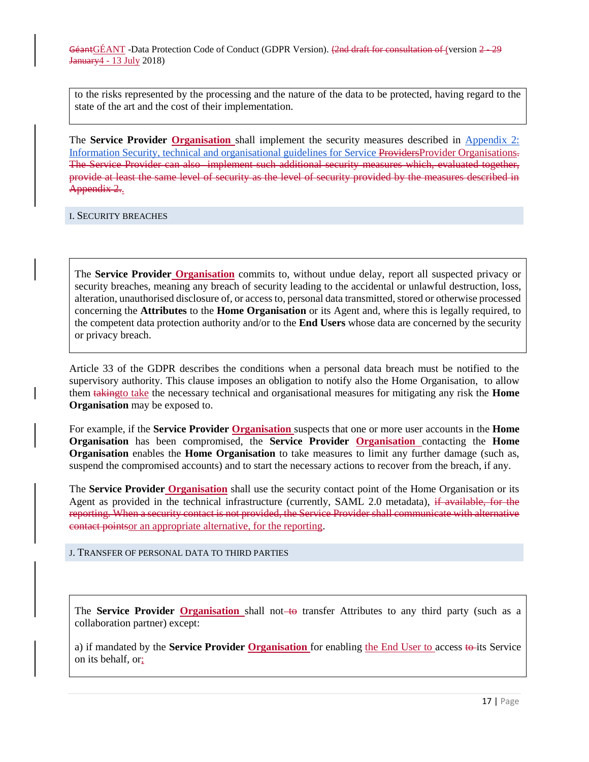to the risks represented by the processing and the nature of the data to be protected, having regard to the state of the art and the cost of their implementation.

The **Service Provider Organisation** shall implement the security measures described in [Appendix 2:](#page-31-0)  [Information Security, technical and organisational guidelines for Service ProvidersProvider Organisations.](#page-31-0) The Service Provider can also implement such additional security measures which, evaluated together, provide at least the same level of security as the level of security provided by the measures described in Appendix 2..

<span id="page-16-0"></span>I. SECURITY BREACHES

The **Service Provider Organisation** commits to, without undue delay, report all suspected privacy or security breaches, meaning any breach of security leading to the accidental or unlawful destruction, loss, alteration, unauthorised disclosure of, or access to, personal data transmitted, stored or otherwise processed concerning the **Attributes** to the **Home Organisation** or its Agent and, where this is legally required, to the competent data protection authority and/or to the **End Users** whose data are concerned by the security or privacy breach.

Article 33 of the GDPR describes the conditions when a personal data breach must be notified to the supervisory authority. This clause imposes an obligation to notify also the Home Organisation, to allow them takingto take the necessary technical and organisational measures for mitigating any risk the **Home Organisation** may be exposed to.

For example, if the **Service Provider Organisation** suspects that one or more user accounts in the **Home Organisation** has been compromised, the **Service Provider Organisation** contacting the **Home Organisation** enables the **Home Organisation** to take measures to limit any further damage (such as, suspend the compromised accounts) and to start the necessary actions to recover from the breach, if any.

The **Service Provider Organisation** shall use the security contact point of the Home Organisation or its Agent as provided in the technical infrastructure (currently, SAML 2.0 metadata), if available, for the reporting. When a security contact is not provided, the Service Provider shall communicate with alternative contact pointsor an appropriate alternative, for the reporting.

<span id="page-16-1"></span>J. TRANSFER OF PERSONAL DATA TO THIRD PARTIES

The **Service Provider Organisation** shall not to transfer Attributes to any third party (such as a collaboration partner) except:

a) if mandated by the **Service Provider Organisation** for enabling the End User to access to its Service on its behalf, or;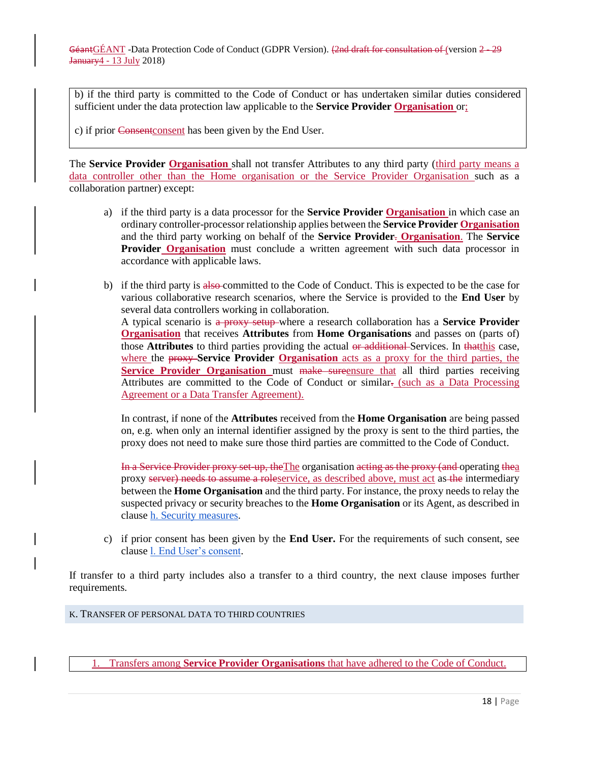b) if the third party is committed to the Code of Conduct or has undertaken similar duties considered sufficient under the data protection law applicable to the **Service Provider Organisation** or;

c) if prior Consentconsent has been given by the End User.

The **Service Provider Organisation** shall not transfer Attributes to any third party (third party means a data controller other than the Home organisation or the Service Provider Organisation such as a collaboration partner) except:

- a) if the third party is a data processor for the **Service Provider Organisation** in which case an ordinary controller-processor relationship applies between the **Service Provider Organisation** and the third party working on behalf of the **Service Provider**. **Organisation**. The **Service Provider Organisation** must conclude a written agreement with such data processor in accordance with applicable laws.
- b) if the third party is also committed to the Code of Conduct. This is expected to be the case for various collaborative research scenarios, where the Service is provided to the **End User** by several data controllers working in collaboration. A typical scenario is a proxy setup where a research collaboration has a **Service Provider Organisation** that receives **Attributes** from **Home Organisations** and passes on (parts of) those **Attributes** to third parties providing the actual or additional Services. In thatthis case, where the proxy **Service Provider Organisation** acts as a proxy for the third parties, the **Service Provider Organisation** must make sureensure that all third parties receiving Attributes are committed to the Code of Conduct or similar. (such as a Data Processing Agreement or a Data Transfer Agreement).

In contrast, if none of the **Attributes** received from the **Home Organisation** are being passed on, e.g. when only an internal identifier assigned by the proxy is sent to the third parties, the proxy does not need to make sure those third parties are committed to the Code of Conduct.

In a Service Provider proxy set-up, the The organisation acting as the proxy (and operating thea proxy server) needs to assume a roleservice, as described above, must act as the intermediary between the **Home Organisation** and the third party. For instance, the proxy needs to relay the suspected privacy or security breaches to the **Home Organisation** or its Agent, as described in clause [h. Security measures.](#page-15-0)

c) if prior consent has been given by the **End User.** For the requirements of such consent, see clause l. End User's consent.

If transfer to a third party includes also a transfer to a third country, the next clause imposes further requirements.

<span id="page-17-0"></span>K. TRANSFER OF PERSONAL DATA TO THIRD COUNTRIES

1. Transfers among **Service Provider Organisations** that have adhered to the Code of Conduct.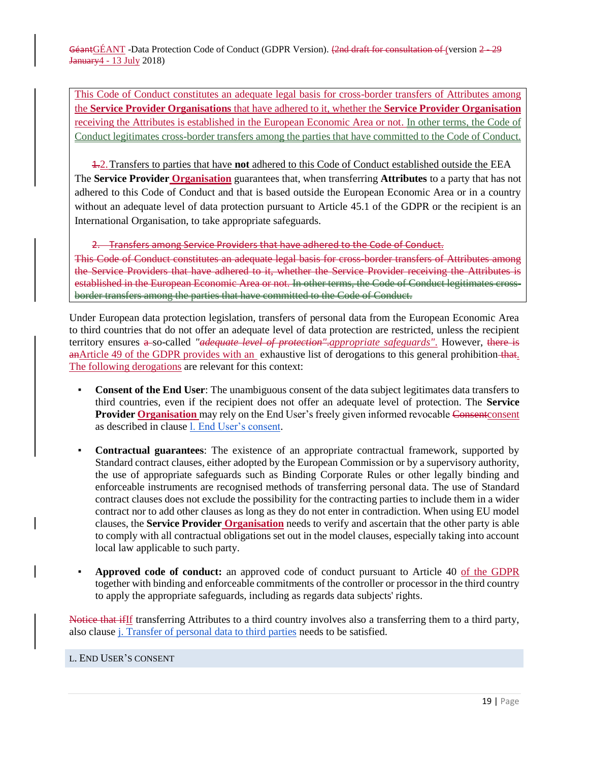This Code of Conduct constitutes an adequate legal basis for cross-border transfers of Attributes among the **Service Provider Organisations** that have adhered to it, whether the **Service Provider Organisation** receiving the Attributes is established in the European Economic Area or not. In other terms, the Code of Conduct legitimates cross-border transfers among the parties that have committed to the Code of Conduct.

1.2.Transfers to parties that have **not** adhered to this Code of Conduct established outside the EEA The **Service Provider Organisation** guarantees that, when transferring **Attributes** to a party that has not adhered to this Code of Conduct and that is based outside the European Economic Area or in a country without an adequate level of data protection pursuant to Article 45.1 of the GDPR or the recipient is an International Organisation, to take appropriate safeguards.

2. Transfers among Service Providers that have adhered to the Code of Conduct. This Code of Conduct constitutes an adequate legal basis for cross-border transfers of Attributes among the Service Providers that have adhered to it, whether the Service Provider receiving the Attributes is established in the European Economic Area or not. In other terms, the Code of Conduct legitimates crossborder transfers among the parties that have committed to the Code of Conduct.

Under European data protection legislation, transfers of personal data from the European Economic Area to third countries that do not offer an adequate level of data protection are restricted, unless the recipient territory ensures a so-called *"adequate level of protection"*.*appropriate safeguards"*. However, there is anArticle 49 of the GDPR provides with an exhaustive list of derogations to this general prohibition that. The following derogations are relevant for this context:

- **Consent of the End User:** The unambiguous consent of the data subject legitimates data transfers to third countries, even if the recipient does not offer an adequate level of protection. The **Service Provider Organisation** may rely on the End User's freely given informed revocable Consentconsent as described in clause l. End User's consent.
- **Contractual guarantees**: The existence of an appropriate contractual framework, supported by Standard contract clauses, either adopted by the European Commission or by a supervisory authority, the use of appropriate safeguards such as Binding Corporate Rules or other legally binding and enforceable instruments are recognised methods of transferring personal data. The use of Standard contract clauses does not exclude the possibility for the contracting parties to include them in a wider contract nor to add other clauses as long as they do not enter in contradiction. When using EU model clauses, the **Service Provider Organisation** needs to verify and ascertain that the other party is able to comply with all contractual obligations set out in the model clauses, especially taking into account local law applicable to such party.
- **Approved code of conduct:** an approved code of conduct pursuant to Article 40 of the GDPR together with binding and enforceable commitments of the controller or processor in the third country to apply the appropriate safeguards, including as regards data subjects' rights.

Notice that ifIf transferring Attributes to a third country involves also a transferring them to a third party, also clause j. Transfer of personal data to third parties needs to be satisfied.

# <span id="page-18-0"></span>L. END USER'S CONSENT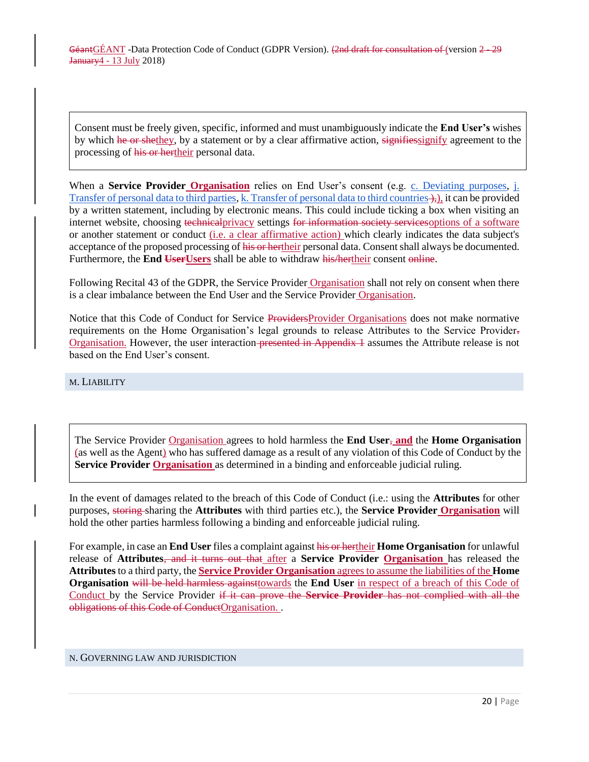Consent must be freely given, specific, informed and must unambiguously indicate the **End User's** wishes by which he or shethey, by a statement or by a clear affirmative action, signifies signify agreement to the processing of his or hertheir personal data.

When a **Service Provider Organisation** relies on End User's consent (e.g. [c. Deviating purposes,](#page-11-0) j. Transfer of personal data to third parties[, k. Transfer of personal data to third countries](#page-17-0)  $\downarrow$ , it can be provided by a written statement, including by electronic means. This could include ticking a box when visiting an internet website, choosing technicalprivacy settings for information society services options of a software or another statement or conduct (i.e. a clear affirmative action) which clearly indicates the data subject's acceptance of the proposed processing of his or hertheir personal data. Consent shall always be documented. Furthermore, the **End User Users** shall be able to withdraw his/hertheir consent online.

Following Recital 43 of the GDPR, the Service Provider Organisation shall not rely on consent when there is a clear imbalance between the End User and the Service Provider Organisation.

Notice that this Code of Conduct for Service ProvidersProvider Organisations does not make normative requirements on the Home Organisation's legal grounds to release Attributes to the Service Provider. Organisation. However, the user interaction-presented in Appendix 1 assumes the Attribute release is not based on the End User's consent.

#### <span id="page-19-0"></span>M. LIABILITY

The Service Provider Organisation agrees to hold harmless the **End User**, **and** the **Home Organisation** (as well as the Agent) who has suffered damage as a result of any violation of this Code of Conduct by the **Service Provider Organisation** as determined in a binding and enforceable judicial ruling.

In the event of damages related to the breach of this Code of Conduct (i.e.: using the **Attributes** for other purposes, storing sharing the **Attributes** with third parties etc.), the **Service Provider Organisation** will hold the other parties harmless following a binding and enforceable judicial ruling.

For example, in case an **End User** files a complaint against his or hertheir **Home Organisation** for unlawful release of **Attributes**, and it turns out that after a **Service Provider Organisation** has released the **Attributes** to a third party, the **Service Provider Organisation** agrees to assume the liabilities of the **Home Organisation** will be held harmless againsttowards the **End User** in respect of a breach of this Code of Conduct by the Service Provider if it can prove the **Service Provider** has not complied with all the obligations of this Code of ConductOrganisation. .

#### <span id="page-19-2"></span><span id="page-19-1"></span>N. GOVERNING LAW AND JURISDICTION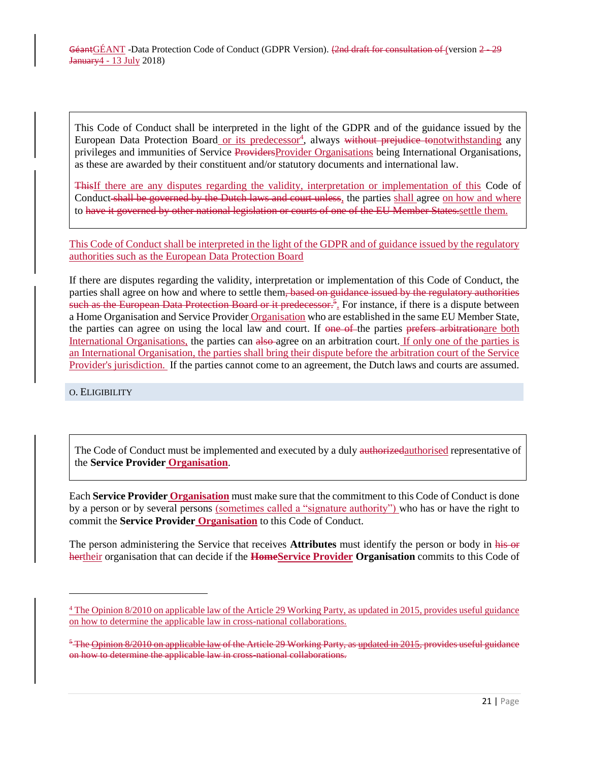This Code of Conduct shall be interpreted in the light of the GDPR and of the guidance issued by the European Data Protection Board or its predecessor<sup>4</sup>, always without prejudice tonotwithstanding any privileges and immunities of Service ProvidersProvider Organisations being International Organisations, as these are awarded by their constituent and/or statutory documents and international law.

ThisIf there are any disputes regarding the validity, interpretation or implementation of this Code of Conduct shall be governed by the Dutch laws and court unless, the parties shall agree on how and where to have it governed by other national legislation or courts of one of the EU Member States.settle them.

This Code of Conduct shall be interpreted in the light of the GDPR and of guidance issued by the regulatory authorities such as the European Data Protection Board

If there are disputes regarding the validity, interpretation or implementation of this Code of Conduct, the parties shall agree on how and where to settle them, based on guidance issued by the regulatory authorities such as the European Data Protection Board or it predecessor.<sup>5</sup>. For instance, if there is a dispute between a Home Organisation and Service Provider Organisation who are established in the same EU Member State, the parties can agree on using the local law and court. If one of the parties prefers arbitrationare both International Organisations, the parties can also agree on an arbitration court. If only one of the parties is an International Organisation, the parties shall bring their dispute before the arbitration court of the Service Provider's jurisdiction. If the parties cannot come to an agreement, the Dutch laws and courts are assumed.

<span id="page-20-0"></span>O. ELIGIBILITY

 $\overline{a}$ 

The Code of Conduct must be implemented and executed by a duly authorized authorized representative of the **Service Provider Organisation**.

Each **Service Provider Organisation** must make sure that the commitment to this Code of Conduct is done by a person or by several persons (sometimes called a "signature authority") who has or have the right to commit the **Service Provider Organisation** to this Code of Conduct.

The person administering the Service that receives **Attributes** must identify the person or body in his or hertheir organisation that can decide if the **HomeService Provider Organisation** commits to this Code of

 $\frac{4}{1}$  Th[e](http://ec.europa.eu/justice/data-protection/article-29/documentation/opinion-recommendation/files/2010/wp179_en.pdf) [Opinion 8/2010 on applicable law](http://ec.europa.eu/justice/data-protection/article-29/documentation/opinion-recommendation/files/2010/wp179_en.pdf) of the Article 29 Working Party, as [updated in 2015,](http://ec.europa.eu/justice/data-protection/article-29/documentation/opinion-recommendation/files/2015/wp179_en_update.pdf) provides useful guidance on how to determine the applicable law in cross-national collaborations.

<sup>&</sup>lt;sup>5</sup> The Opinion 8/2010 on applicable law of the Article 29 Working Party, as updated in 2015, provides useful guidance on how to determine the applicable law in cross-national collaborations.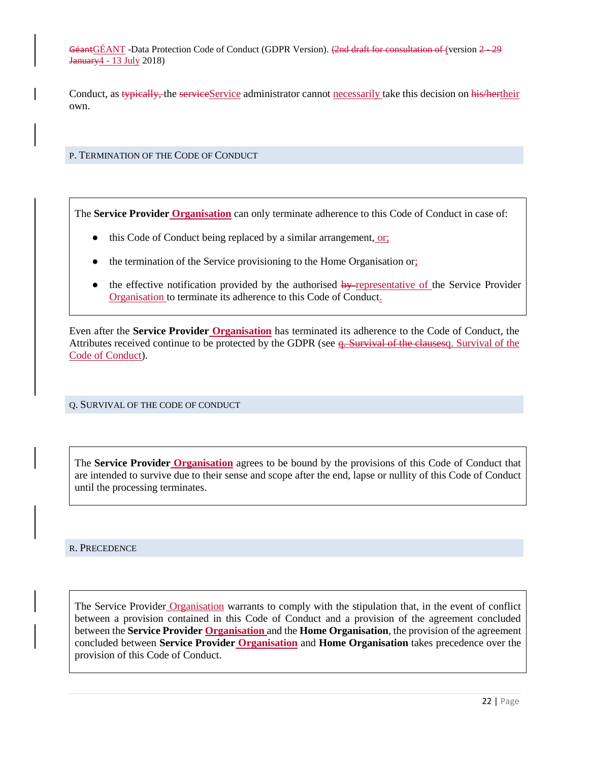Conduct, as typically, the serviceService administrator cannot necessarily take this decision on his/hertheir own.

<span id="page-21-0"></span>P. TERMINATION OF THE CODE OF CONDUCT

The **Service Provider Organisation** can only terminate adherence to this Code of Conduct in case of:

- this Code of Conduct being replaced by a similar arrangement, or;
- the termination of the Service provisioning to the Home Organisation or;
- the effective notification provided by the authorised  $by$ -representative of the Service Provider Organisation to terminate its adherence to this Code of Conduct.

Even after the **Service Provider Organisation** has terminated its adherence to the Code of Conduct, the Attributes received continue to be protected by the GDPR (see  $q$ . Survival of the clausesq. Survival of the [Code of Conduct\)](#page-21-4).

<span id="page-21-4"></span><span id="page-21-1"></span>Q. SURVIVAL OF THE CODE OF CONDUCT

The **Service Provider Organisation** agrees to be bound by the provisions of this Code of Conduct that are intended to survive due to their sense and scope after the end, lapse or nullity of this Code of Conduct until the processing terminates.

<span id="page-21-3"></span><span id="page-21-2"></span>R. PRECEDENCE

The Service Provider Organisation warrants to comply with the stipulation that, in the event of conflict between a provision contained in this Code of Conduct and a provision of the agreement concluded between the **Service Provider Organisation** and the **Home Organisation**, the provision of the agreement concluded between **Service Provider Organisation** and **Home Organisation** takes precedence over the provision of this Code of Conduct.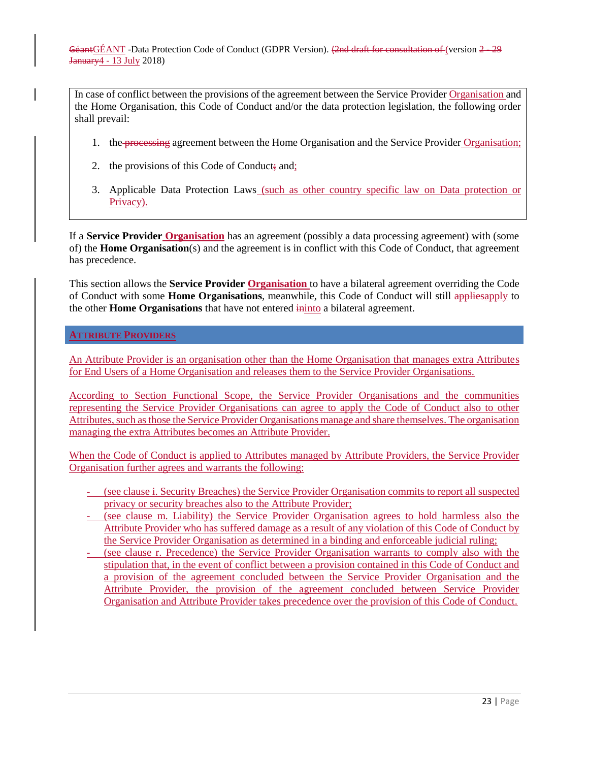In case of conflict between the provisions of the agreement between the Service Provider Organisation and the Home Organisation, this Code of Conduct and/or the data protection legislation, the following order shall prevail:

- 1. the processing agreement between the Home Organisation and the Service Provider Organisation;
- 2. the provisions of this Code of Conduct; and;
- 3. Applicable Data Protection Laws (such as other country specific law on Data protection or Privacy).

If a **Service Provider Organisation** has an agreement (possibly a data processing agreement) with (some of) the **Home Organisation**(s) and the agreement is in conflict with this Code of Conduct, that agreement has precedence.

This section allows the **Service Provider Organisation** to have a bilateral agreement overriding the Code of Conduct with some **Home Organisations**, meanwhile, this Code of Conduct will still appliesapply to the other **Home Organisations** that have not entered ininto a bilateral agreement.

# <span id="page-22-0"></span>**ATTRIBUTE PROVIDERS**

An Attribute Provider is an organisation other than the Home Organisation that manages extra Attributes for End Users of a Home Organisation and releases them to the Service Provider Organisations.

According to Section [Functional Scope,](#page-7-0) the Service Provider Organisations and the communities representing the Service Provider Organisations can agree to apply the Code of Conduct also to other Attributes, such as those the Service Provider Organisations manage and share themselves. The organisation managing the extra Attributes becomes an Attribute Provider.

When the Code of Conduct is applied to Attributes managed by Attribute Providers, the Service Provider Organisation further agrees and warrants the following:

- (see clause [i. Security Breaches\)](#page-16-0) the Service Provider Organisation commits to report all suspected privacy or security breaches also to the Attribute Provider;
- (see clause [m. Liability\)](#page-19-0) the Service Provider Organisation agrees to hold harmless also the Attribute Provider who has suffered damage as a result of any violation of this Code of Conduct by the Service Provider Organisation as determined in a binding and enforceable judicial ruling;
- (see clause [r. Precedence\)](#page-21-3) the Service Provider Organisation warrants to comply also with the stipulation that, in the event of conflict between a provision contained in this Code of Conduct and a provision of the agreement concluded between the Service Provider Organisation and the Attribute Provider, the provision of the agreement concluded between Service Provider Organisation and Attribute Provider takes precedence over the provision of this Code of Conduct.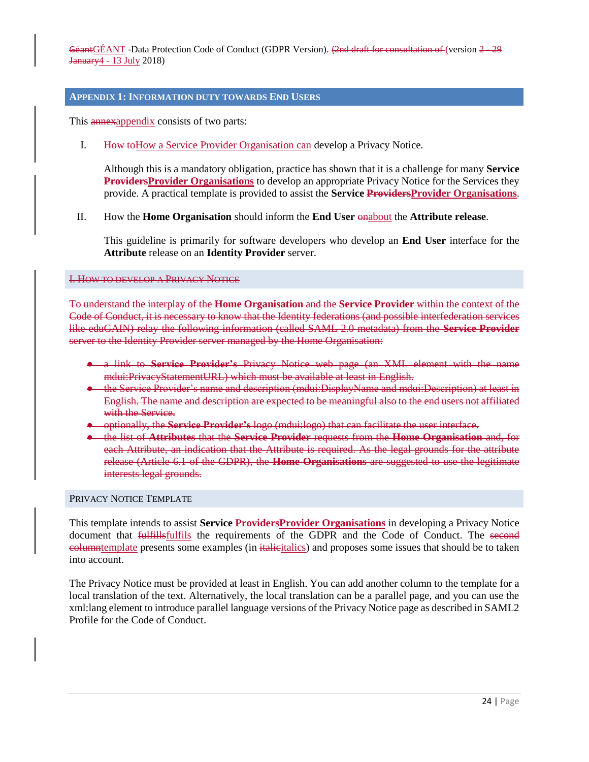#### <span id="page-23-0"></span>**APPENDIX 1: INFORMATION DUTY TOWARDS END USERS**

This **annexappendix** consists of two parts:

I. How toHow a Service Provider Organisation can develop a Privacy Notice.

Although this is a mandatory obligation, practice has shown that it is a challenge for many **Service ProvidersProvider Organisations** to develop an appropriate Privacy Notice for the Services they provide. A practical template is provided to assist the **Service ProvidersProvider Organisations**.

# II. How the **Home Organisation** should inform the **End User** onabout the **Attribute release**.

This guideline is primarily for software developers who develop an **End User** interface for the **Attribute** release on an **Identity Provider** server.

#### <span id="page-23-1"></span>I. HOW TO DEVELOP A PRIVACY NOTICE

To understand the interplay of the **Home Organisation** and the **Service Provider** within the context of the Code of Conduct, it is necessary to know that the Identity federations (and possible interfederation services like eduGAIN) relay the following information (called SAML 2.0 metadata) from the **Service Provider**  server to the Identity Provider server managed by the Home Organisation:

- a link to **Service Provider's** Privacy Notice web page (an XML element with the name mdui:PrivacyStatementURL) which must be available at least in English.
- the Service Provider's name and description (mdui:DisplayName and mdui:Description) at least in English. The name and description are expected to be meaningful also to the end users not affiliated with the Service.
- optionally, the **Service Provider's** logo (mdui:logo) that can facilitate the user interface.
- the list of **Attributes** that the **Service Provider** requests from the **Home Organisation** and, for each Attribute, an indication that the Attribute is required. As the legal grounds for the attribute release (Article 6.1 of the GDPR), the **Home Organisations** are suggested to use the legitimate interests legal grounds.

#### PRIVACY NOTICE TEMPLATE

This template intends to assist **Service ProvidersProvider Organisations** in developing a Privacy Notice document that fulfillsfulfils the requirements of the GDPR and the Code of Conduct. The second eolumntemplate presents some examples (in italieitalics) and proposes some issues that should be to taken into account.

The Privacy Notice must be provided at least in English. You can add another column to the template for a local translation of the text. Alternatively, the local translation can be a parallel page, and you can use the xml:lang element to introduce parallel language versions of the Privacy Notice page as described in SAML2 Profile for the Code of Conduct.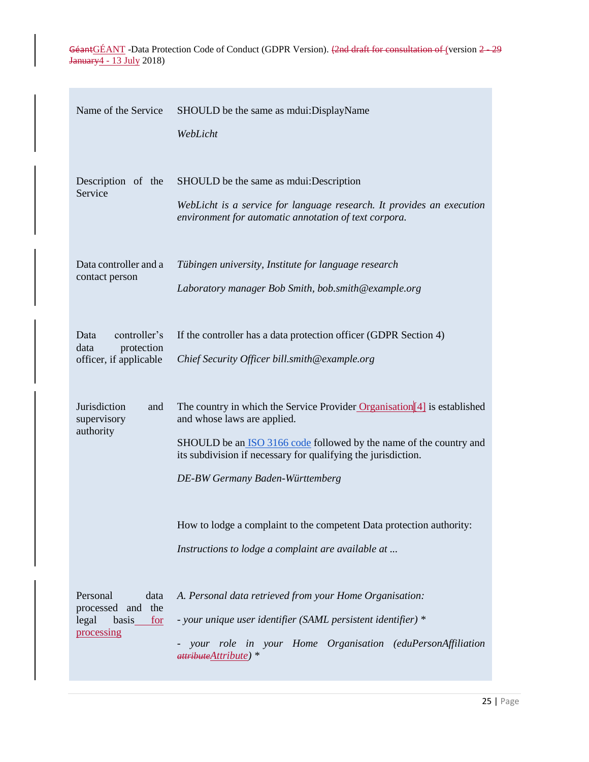| Name of the Service                                                          | SHOULD be the same as mdui: DisplayName                                                                                                                                                                                                                                              |
|------------------------------------------------------------------------------|--------------------------------------------------------------------------------------------------------------------------------------------------------------------------------------------------------------------------------------------------------------------------------------|
|                                                                              | WebLicht                                                                                                                                                                                                                                                                             |
| Description of the<br>Service                                                | SHOULD be the same as mdui: Description<br>WebLicht is a service for language research. It provides an execution<br>environment for automatic annotation of text corpora.                                                                                                            |
| Data controller and a                                                        | Tübingen university, Institute for language research                                                                                                                                                                                                                                 |
| contact person                                                               | Laboratory manager Bob Smith, bob.smith@example.org                                                                                                                                                                                                                                  |
| controller's<br>Data<br>protection<br>data<br>officer, if applicable         | If the controller has a data protection officer (GDPR Section 4)<br>Chief Security Officer bill.smith@example.org                                                                                                                                                                    |
| <b>Jurisdiction</b><br>and<br>supervisory<br>authority                       | The country in which the Service Provider Organisation $[4]$ is established<br>and whose laws are applied.<br>SHOULD be an ISO 3166 code followed by the name of the country and<br>its subdivision if necessary for qualifying the jurisdiction.<br>DE-BW Germany Baden-Württemberg |
|                                                                              | How to lodge a complaint to the competent Data protection authority:<br>Instructions to lodge a complaint are available at                                                                                                                                                           |
| Personal<br>data<br>processed and the<br>legal<br>basis<br>for<br>processing | A. Personal data retrieved from your Home Organisation:<br>- your unique user identifier (SAML persistent identifier) *<br>your role in your Home Organisation (eduPersonAffiliation<br>attributeAttribute) *                                                                        |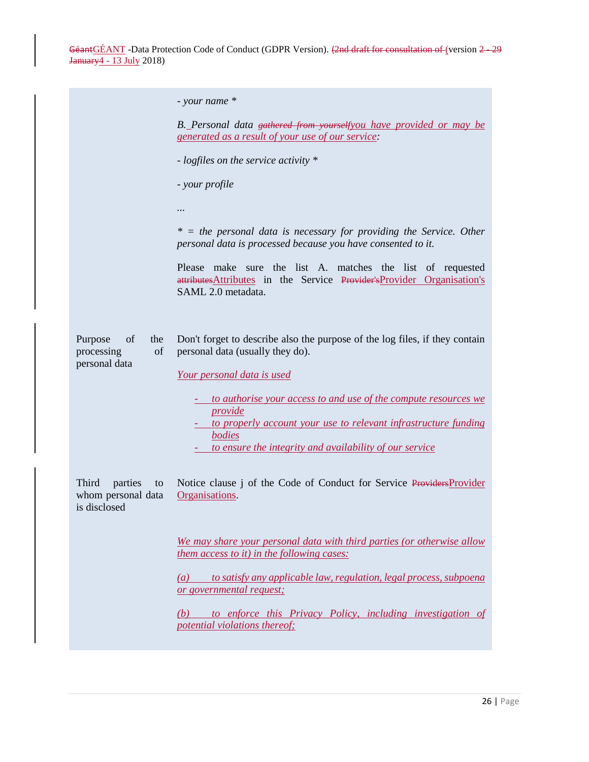|                                                              | $-$ your name $*$                                                                                                                                                                                                           |
|--------------------------------------------------------------|-----------------------------------------------------------------------------------------------------------------------------------------------------------------------------------------------------------------------------|
|                                                              | B. Personal data gathered from yourselfyou have provided or may be<br><i><u>generated as a result of your use of our service:</u></i>                                                                                       |
|                                                              | - logfiles on the service activity *                                                                                                                                                                                        |
|                                                              | - your profile                                                                                                                                                                                                              |
|                                                              |                                                                                                                                                                                                                             |
|                                                              | $* =$ the personal data is necessary for providing the Service. Other<br>personal data is processed because you have consented to it.                                                                                       |
|                                                              | Please make sure the list A. matches the list of requested<br>attributes Attributes in the Service Provider's Provider Organisation's<br>SAML 2.0 metadata.                                                                 |
| Purpose<br>of<br>the<br>processing<br>of<br>personal data    | Don't forget to describe also the purpose of the log files, if they contain<br>personal data (usually they do).<br>Your personal data is used                                                                               |
|                                                              | to authorise your access to and use of the compute resources we<br><i>provide</i><br>- to properly account your use to relevant infrastructure funding<br>bodies<br>to ensure the integrity and availability of our service |
| Third<br>parties<br>to<br>whom personal data<br>is disclosed | Notice clause j of the Code of Conduct for Service Providers Provider<br>Organisations.                                                                                                                                     |
|                                                              | We may share your personal data with third parties (or otherwise allow<br>them access to it) in the following cases:                                                                                                        |
|                                                              | to satisfy any applicable law, regulation, legal process, subpoena<br>$\left( a\right)$<br>or governmental request;                                                                                                         |
|                                                              | to enforce this Privacy Policy, including investigation of<br>(b)<br>potential violations thereof;                                                                                                                          |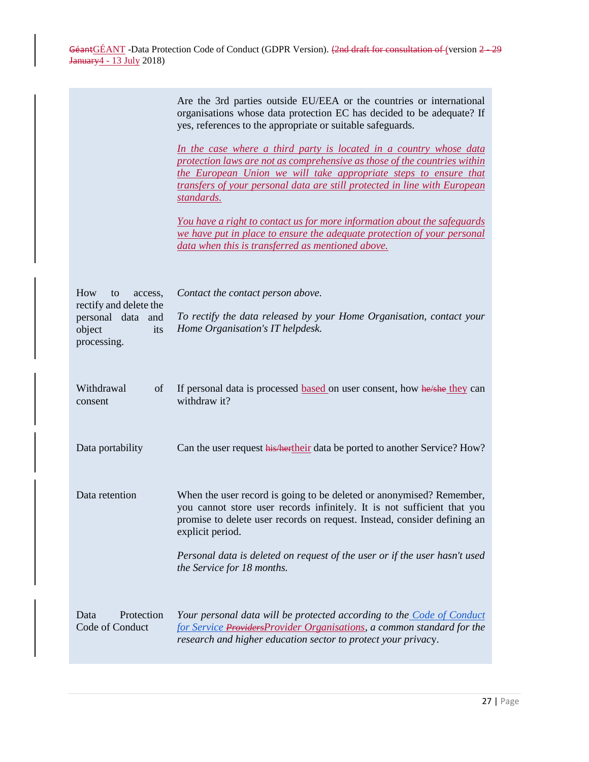|                                                                                                     | Are the 3rd parties outside EU/EEA or the countries or international<br>organisations whose data protection EC has decided to be adequate? If<br>yes, references to the appropriate or suitable safeguards.                                                                                                    |
|-----------------------------------------------------------------------------------------------------|----------------------------------------------------------------------------------------------------------------------------------------------------------------------------------------------------------------------------------------------------------------------------------------------------------------|
|                                                                                                     | In the case where a third party is located in a country whose data<br>protection laws are not as comprehensive as those of the countries within<br>the European Union we will take appropriate steps to ensure that<br>transfers of your personal data are still protected in line with European<br>standards. |
|                                                                                                     | <u>You have a right to contact us for more information about the safeguards</u><br>we have put in place to ensure the adequate protection of your personal<br>data when this is transferred as mentioned above.                                                                                                |
| How<br>to<br>access,<br>rectify and delete the<br>personal data and<br>object<br>its<br>processing. | Contact the contact person above.<br>To rectify the data released by your Home Organisation, contact your<br>Home Organisation's IT helpdesk.                                                                                                                                                                  |
| Withdrawal<br>of<br>consent                                                                         | If personal data is processed based on user consent, how he/she they can<br>withdraw it?                                                                                                                                                                                                                       |
| Data portability                                                                                    | Can the user request his heartheir data be ported to another Service? How?                                                                                                                                                                                                                                     |
| Data retention                                                                                      | When the user record is going to be deleted or anonymised? Remember,<br>you cannot store user records infinitely. It is not sufficient that you<br>promise to delete user records on request. Instead, consider defining an<br>explicit period.                                                                |
|                                                                                                     | Personal data is deleted on request of the user or if the user hasn't used<br>the Service for 18 months.                                                                                                                                                                                                       |
| Data<br>Protection<br>Code of Conduct                                                               | Your personal data will be protected according to the <b>Code of Conduct</b><br>for Service ProvidersProvider Organisations, a common standard for the<br>research and higher education sector to protect your privacy.                                                                                        |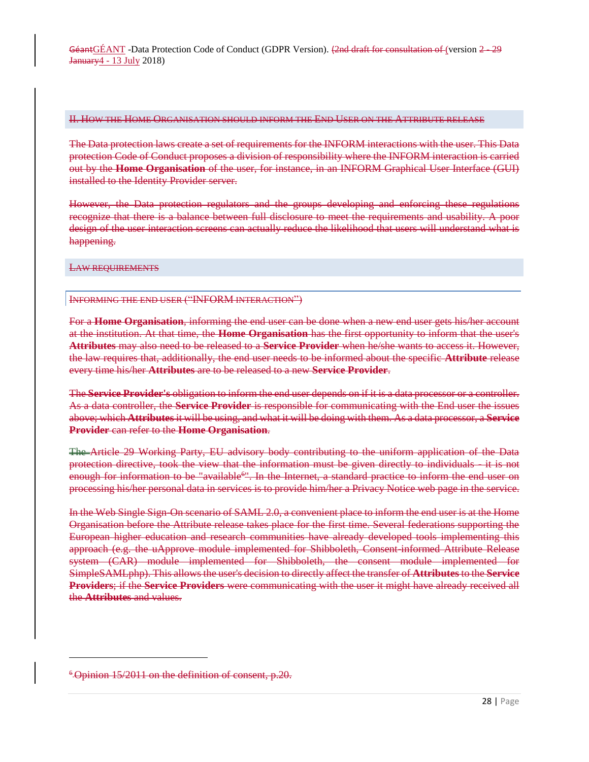#### II. HOW THE HOME ORGANISATION SHOULD INFORM THE END USER ON THE ATTRIBUTE RELEASE

The Data protection laws create a set of requirements for the INFORM interactions with the user. This Data protection Code of Conduct proposes a division of responsibility where the INFORM interaction is carried out by the **Home Organisation** of the user, for instance, in an INFORM Graphical User Interface (GUI) installed to the Identity Provider server.

However, the Data protection regulators and the groups developing and enforcing these regulations recognize that there is a balance between full disclosure to meet the requirements and usability. A poor design of the user interaction screens can actually reduce the likelihood that users will understand what is happening.

LAW REQUIREMENTS

#### INFORMING THE END USER ("INFORM INTERACTION")

For a **Home Organisation**, informing the end user can be done when a new end user gets his/her account at the institution. At that time, the **Home Organisation** has the first opportunity to inform that the user's **Attributes** may also need to be released to a **Service Provider** when he/she wants to access it. However, the law requires that, additionally, the end user needs to be informed about the specific **Attribute** release every time his/her **Attributes** are to be released to a new **Service Provider**.

The **Service Provider's** obligation to inform the end user depends on if it is a data processor or a controller. As a data controller, the **Service Provider** is responsible for communicating with the End user the issues above; which **Attributes** it will be using, and what it will be doing with them. As a data processor, a **Service Provider** can refer to the **Home Organisation**.

The Article 29 Working Party, EU advisory body contributing to the uniform application of the Data protection directive, took the view that the information must be given directly to individuals - it is not enough for information to be "available<sup>6"</sup>. In the Internet, a standard practice to inform the end user on processing his/her personal data in services is to provide him/her a Privacy Notice web page in the service.

In the Web Single Sign-On scenario of SAML 2.0, a convenient place to inform the end user is at the Home Organisation before the Attribute release takes place for the first time. Several federations supporting the European higher education and research communities have already developed tools implementing this approach (e.g. the uApprove module implemented for Shibboleth, Consent-informed Attribute Release system (CAR) module implemented for Shibboleth, the consent module implemented for SimpleSAMLphp). This allows the user's decision to directly affect the transfer of **Attributes** to the **Service Providers**; if the **Service Providers** were communicating with the user it might have already received all the **Attributes** and values.

l

<sup>&</sup>lt;sup>6</sup> Opinion 15/2011 on the definition of consent, p.20.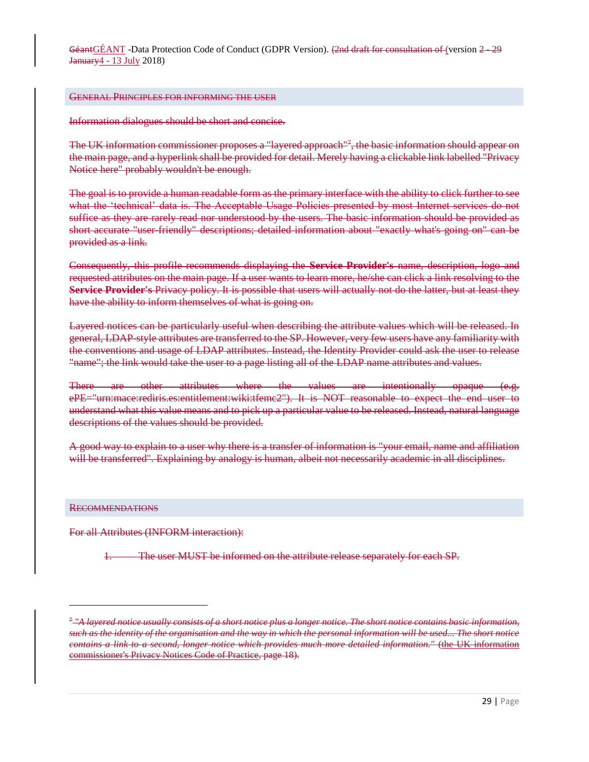#### GENERAL PRINCIPLES FOR INFORMING THE USER

Information dialogues should be short and concise.

The UK information commissioner proposes a "layered approach"<sup>7</sup>, the basic information should appear on the main page, and a hyperlink shall be provided for detail. Merely having a clickable link labelled "Privacy Notice here" probably wouldn't be enough.

The goal is to provide a human readable form as the primary interface with the ability to click further to see what the 'technical' data is. The Acceptable Usage Policies presented by most Internet services do not suffice as they are rarely read nor understood by the users. The basic information should be provided as short accurate "user-friendly" descriptions; detailed information about "exactly what's going on" can be provided as a link.

Consequently, this profile recommends displaying the **Service Provider's** name, description, logo and requested attributes on the main page. If a user wants to learn more, he/she can click a link resolving to the **Service Provider's** Privacy policy. It is possible that users will actually not do the latter, but at least they have the ability to inform themselves of what is going on.

Layered notices can be particularly useful when describing the attribute values which will be released. In general, LDAP-style attributes are transferred to the SP. However, very few users have any familiarity with the conventions and usage of LDAP attributes. Instead, the Identity Provider could ask the user to release "name"; the link would take the user to a page listing all of the LDAP name attributes and values.

There are other attributes where the values are intentionally opaque (e.g. ePE="urn:mace:rediris.es:entitlement:wiki:tfemc2"). It is NOT reasonable to expect the end user to understand what this value means and to pick up a particular value to be released. Instead, natural language descriptions of the values should be provided.

A good way to explain to a user why there is a transfer of information is "your email, name and affiliation will be transferred". Explaining by analogy is human, albeit not necessarily academic in all disciplines.

#### RECOMMENDATIONS

 $\overline{a}$ 

For all Attributes (INFORM interaction):

The user MUST be informed on the attribute release separately for each SP.

<sup>7</sup> *"A layered notice usually consists of a short notice plus a longer notice. The short notice contains basic information, such as the identity of the organisation and the way in which the personal information will be used... The short notice contains a link to a second, longer notice which provides much more detailed information."* (the UK information commissioner's Privacy Notices Code of Practice, page 18).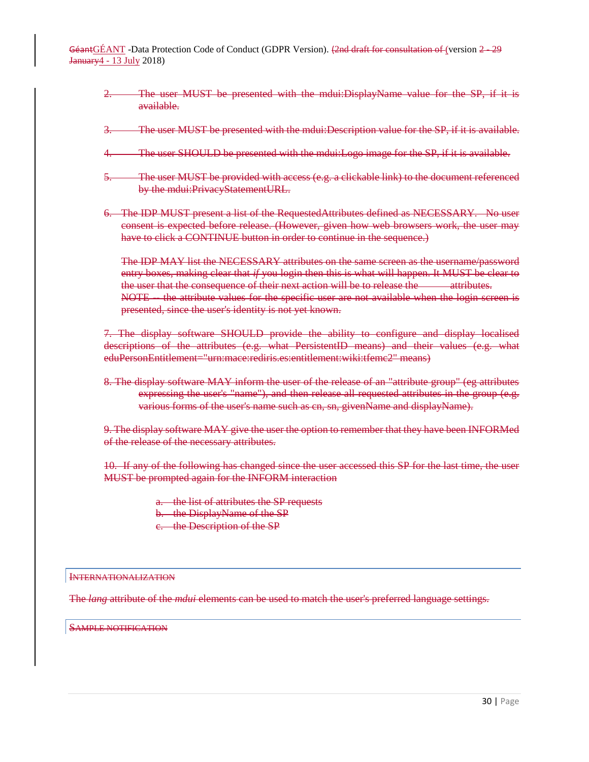- The user MUST be presented with the mdui:DisplayName value for the SP, if it is available.
- The user MUST be presented with the mdui:Description value for the SP, if it is available.
- 4. The user SHOULD be presented with the mdui:Logo image for the SP, if it is available.
- 5. The user MUST be provided with access (e.g. a clickable link) to the document referenced by the mdui:PrivacyStatementURL.
- 6. The IDP MUST present a list of the RequestedAttributes defined as NECESSARY. No user consent is expected before release. (However, given how web browsers work, the user may have to click a CONTINUE button in order to continue in the sequence.)

The IDP MAY list the NECESSARY attributes on the same screen as the username/password entry boxes, making clear that *if* you login then this is what will happen. It MUST be clear to the user that the consequence of their next action will be to release the attributes. NOTE -- the attribute values for the specific user are not available when the login screen is presented, since the user's identity is not yet known.

7. The display software SHOULD provide the ability to configure and display localised descriptions of the attributes (e.g. what PersistentID means) and their values (e.g. what eduPersonEntitlement="urn:mace:rediris.es:entitlement:wiki:tfemc2" means)

8. The display software MAY inform the user of the release of an "attribute group" (eg attributes expressing the user's "name"), and then release all requested attributes in the group (e.g. various forms of the user's name such as cn, sn, givenName and displayName).

9. The display software MAY give the user the option to remember that they have been INFORMed of the release of the necessary attributes.

10. If any of the following has changed since the user accessed this SP for the last time, the user MUST be prompted again for the INFORM interaction

> a. the list of attributes the SP requests b. the DisplayName of the SP c. the Description of the SP

#### INTERNATIONALIZATION

The *lang* attribute of the *mdui* elements can be used to match the user's preferred language settings.

SAMPLE NOTIFICATION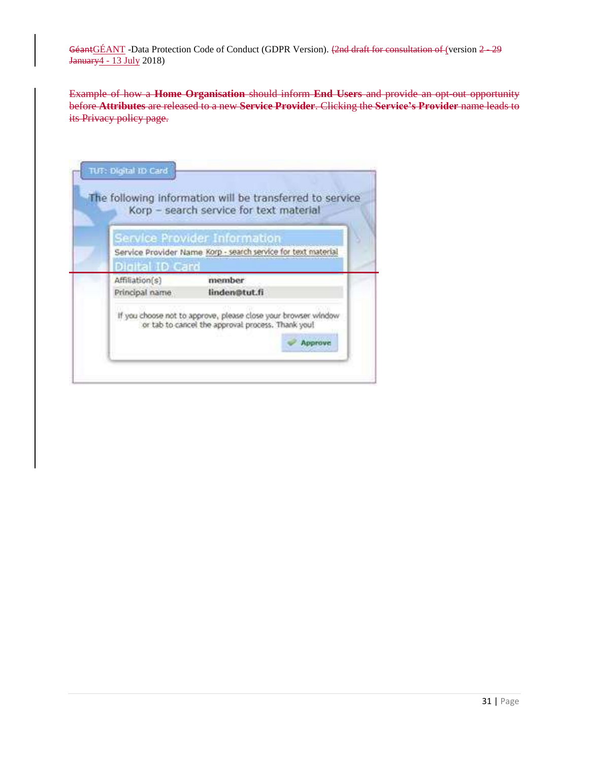Example of how a **Home Organisation** should inform **End Users** and provide an opt-out opportunity before **Attributes** are released to a new **Service Provider**. Clicking the **Service's Provider** name leads to its Privacy policy page.

| Korp - search service for text material                                                                                        |
|--------------------------------------------------------------------------------------------------------------------------------|
| Service Provider Information                                                                                                   |
| Service Provider Name Korp - search service for text material                                                                  |
| Digital ID Card                                                                                                                |
| member<br>Affiliation(s)                                                                                                       |
| Principal name<br>linden@tut.fi                                                                                                |
| If you choose not to approve, please close your browser window<br>or tab to cancel the approval process. Thank you!<br>Approve |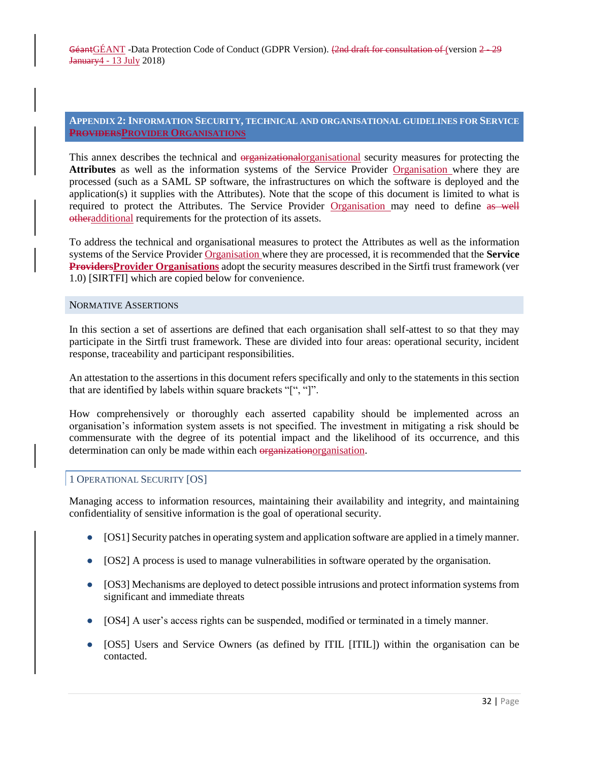# <span id="page-31-0"></span>**APPENDIX 2:INFORMATION SECURITY, TECHNICAL AND ORGANISATIONAL GUIDELINES FOR SERVICE PROVIDERSPROVIDER ORGANISATIONS**

This annex describes the technical and organizational organisational security measures for protecting the **Attributes** as well as the information systems of the Service Provider Organisation where they are processed (such as a SAML SP software, the infrastructures on which the software is deployed and the application(s) it supplies with the Attributes). Note that the scope of this document is limited to what is required to protect the Attributes. The Service Provider Organisation may need to define as well otheradditional requirements for the protection of its assets.

To address the technical and organisational measures to protect the Attributes as well as the information systems of the Service Provider Organisation where they are processed, it is recommended that the **Service ProvidersProvider Organisations** adopt the security measures described in the Sirtfi trust framework (ver 1.0) [SIRTFI] which are copied below for convenience.

#### <span id="page-31-1"></span>NORMATIVE ASSERTIONS

In this section a set of assertions are defined that each organisation shall self-attest to so that they may participate in the Sirtfi trust framework. These are divided into four areas: operational security, incident response, traceability and participant responsibilities.

An attestation to the assertions in this document refers specifically and only to the statements in this section that are identified by labels within square brackets "[", "]".

How comprehensively or thoroughly each asserted capability should be implemented across an organisation's information system assets is not specified. The investment in mitigating a risk should be commensurate with the degree of its potential impact and the likelihood of its occurrence, and this determination can only be made within each organizationorganisation.

# <span id="page-31-2"></span>1 OPERATIONAL SECURITY [OS]

Managing access to information resources, maintaining their availability and integrity, and maintaining confidentiality of sensitive information is the goal of operational security.

- [OS1] Security patches in operating system and application software are applied in a timely manner.
- [OS2] A process is used to manage vulnerabilities in software operated by the organisation.
- [OS3] Mechanisms are deployed to detect possible intrusions and protect information systems from significant and immediate threats
- [OS4] A user's access rights can be suspended, modified or terminated in a timely manner.
- [OS5] Users and Service Owners (as defined by ITIL [ITIL]) within the organisation can be contacted.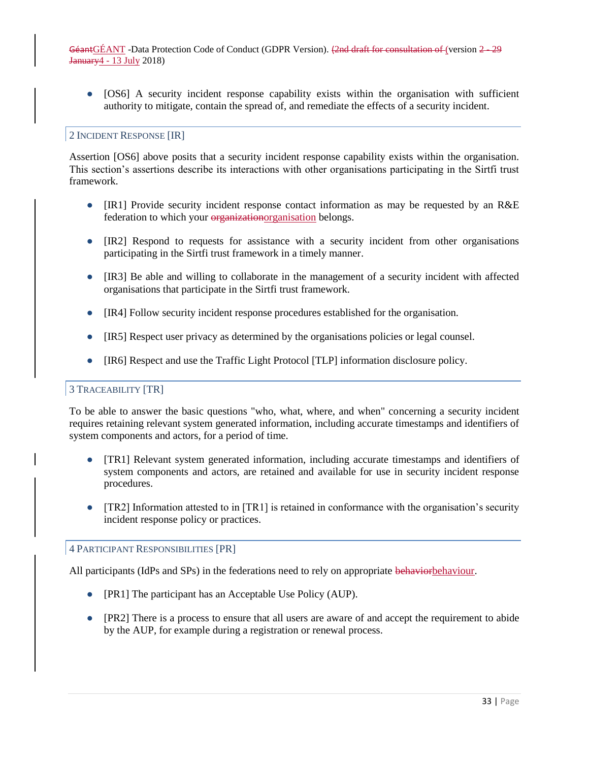● [OS6] A security incident response capability exists within the organisation with sufficient authority to mitigate, contain the spread of, and remediate the effects of a security incident.

# <span id="page-32-0"></span>2 INCIDENT RESPONSE [IR]

Assertion [OS6] above posits that a security incident response capability exists within the organisation. This section's assertions describe its interactions with other organisations participating in the Sirtfi trust framework.

- [IR1] Provide security incident response contact information as may be requested by an R&E federation to which your organizationorganisation belongs.
- [IR2] Respond to requests for assistance with a security incident from other organisations participating in the Sirtfi trust framework in a timely manner.
- [IR3] Be able and willing to collaborate in the management of a security incident with affected organisations that participate in the Sirtfi trust framework.
- [IR4] Follow security incident response procedures established for the organisation.
- [IR5] Respect user privacy as determined by the organisations policies or legal counsel.
- [IR6] Respect and use the Traffic Light Protocol [TLP] information disclosure policy.

# <span id="page-32-1"></span>3 TRACEABILITY [TR]

To be able to answer the basic questions "who, what, where, and when" concerning a security incident requires retaining relevant system generated information, including accurate timestamps and identifiers of system components and actors, for a period of time.

- [TR1] Relevant system generated information, including accurate timestamps and identifiers of system components and actors, are retained and available for use in security incident response procedures.
- [TR2] Information attested to in [TR1] is retained in conformance with the organisation's security incident response policy or practices.

#### <span id="page-32-2"></span>4 PARTICIPANT RESPONSIBILITIES [PR]

All participants (IdPs and SPs) in the federations need to rely on appropriate behaviorbehaviour.

- [PR1] The participant has an Acceptable Use Policy (AUP).
- [PR2] There is a process to ensure that all users are aware of and accept the requirement to abide by the AUP, for example during a registration or renewal process.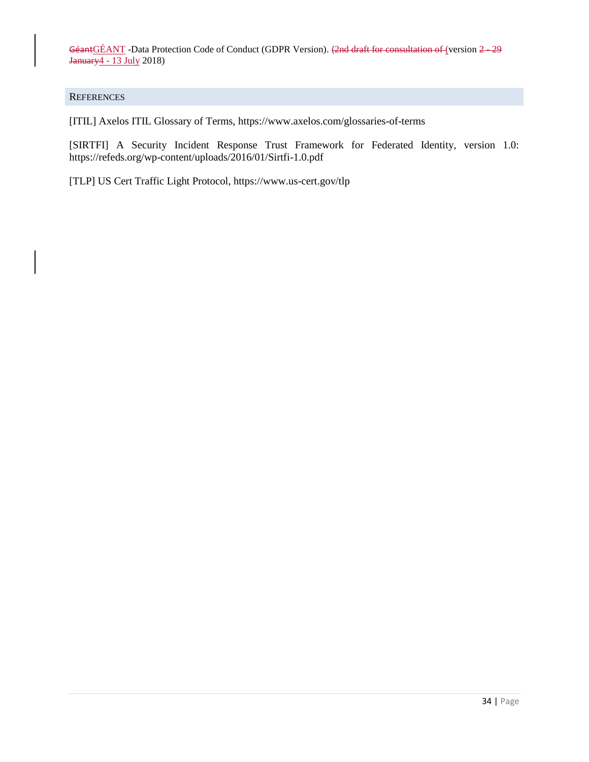#### <span id="page-33-0"></span>**REFERENCES**

[ITIL] Axelos ITIL Glossary of Terms, <https://www.axelos.com/glossaries-of-terms>

[SIRTFI] A Security Incident Response Trust Framework for Federated Identity, version 1.0: <https://refeds.org/wp-content/uploads/2016/01/Sirtfi-1.0.pdf>

[TLP] US Cert Traffic Light Protocol, <https://www.us-cert.gov/tlp>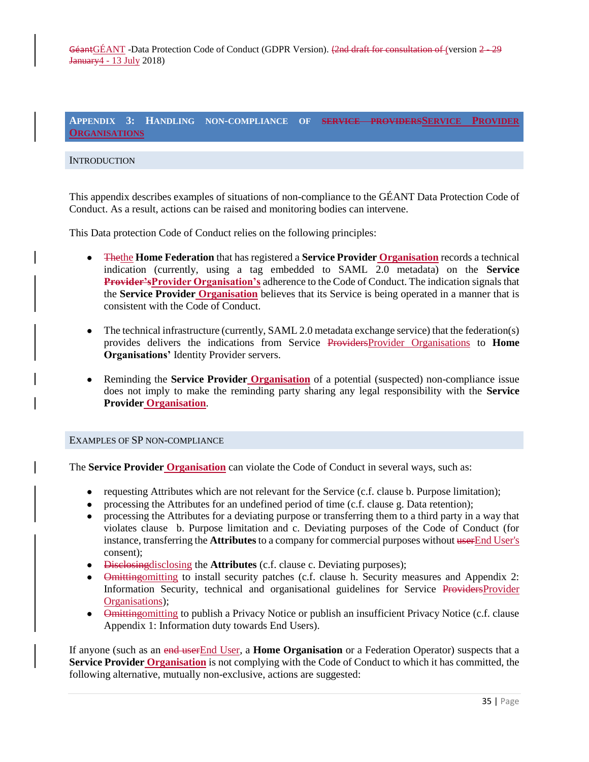<span id="page-34-0"></span>**APPENDIX 3: HANDLING NON-COMPLIANCE OF SERVICE PROVIDERSSERVICE PROVIDER ORGANISATIONS**

### <span id="page-34-1"></span>**INTRODUCTION**

This appendix describes examples of situations of non-compliance to the GÉANT Data Protection Code of Conduct. As a result, actions can be raised and monitoring bodies can intervene.

This Data protection Code of Conduct relies on the following principles:

- Thethe **Home Federation** that has registered a **Service Provider Organisation** records a technical indication (currently, using a tag embedded to SAML 2.0 metadata) on the **Service Provider'sProvider Organisation's** adherence to the Code of Conduct. The indication signals that the **Service Provider Organisation** believes that its Service is being operated in a manner that is consistent with the Code of Conduct.
- The technical infrastructure (currently, SAML 2.0 metadata exchange service) that the federation(s) provides delivers the indications from Service ProvidersProvider Organisations to **Home Organisations'** Identity Provider servers.
- Reminding the **Service Provider Organisation** of a potential (suspected) non-compliance issue does not imply to make the reminding party sharing any legal responsibility with the **Service Provider Organisation**.

#### <span id="page-34-2"></span>EXAMPLES OF SP NON-COMPLIANCE

The **Service Provider Organisation** can violate the Code of Conduct in several ways, such as:

- requesting Attributes which are not relevant for the Service (c.f. clause b. Purpose limitation);
- processing the Attributes for an undefined period of time (c.f. clause g. Data retention);
- processing the Attributes for a deviating purpose or transferring them to a third party in a way that violates clause b. Purpose limitation and c. Deviating purposes of the Code of Conduct (for instance, transferring the **Attributes** to a company for commercial purposes without userEnd User's consent);
- Disclosingdisclosing the **Attributes** (c.f. clause c. Deviating purposes);
- Omittingomitting to install security patches (c.f. clause h. Security measures and Appendix 2: Information Security, technical and organisational guidelines for Service ProvidersProvider Organisations);
- Omitting omitting to publish a Privacy Notice or publish an insufficient Privacy Notice (c.f. clause Appendix 1: Information duty towards End Users).

If anyone (such as an end userEnd User, a **Home Organisation** or a Federation Operator) suspects that a **Service Provider Organisation** is not complying with the Code of Conduct to which it has committed, the following alternative, mutually non-exclusive, actions are suggested: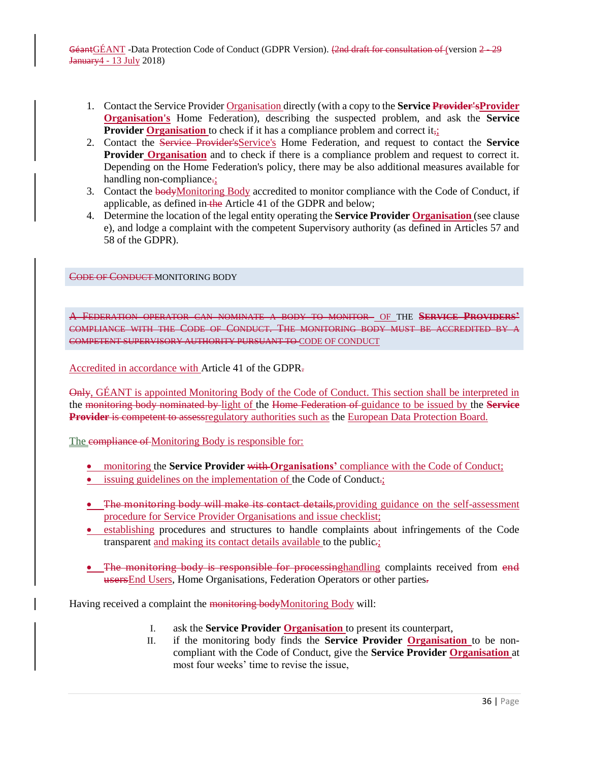- 1. Contact the Service Provider Organisation directly (with a copy to the **Service Provider'sProvider Organisation's** Home Federation), describing the suspected problem, and ask the **Service Provider Organisation** to check if it has a compliance problem and correct it,;
- 2. Contact the Service Provider'sService's Home Federation, and request to contact the **Service Provider Organisation** and to check if there is a compliance problem and request to correct it. Depending on the Home Federation's policy, there may be also additional measures available for handling non-compliance.
- 3. Contact the bodyMonitoring Body accredited to monitor compliance with the Code of Conduct, if applicable, as defined in the Article 41 of the GDPR and below;
- 4. Determine the location of the legal entity operating the **Service Provider Organisation** (see clause e), and lodge a complaint with the competent Supervisory authority (as defined in Articles 57 and 58 of the GDPR).

<span id="page-35-0"></span>CODE OF CONDUCT MONITORING BODY

A FEDERATION OPERATOR CAN NOMINATE A BODY TO MONITOR OF THE **SERVICE PROVIDERS'** COMPLIANCE WITH THE CODE OF CONDUCT. THE MONITORING BODY MUST BE ACCREDITED BY A COMPETENT SUPERVISORY AUTHORITY PURSUANT TO CODE OF CONDUCT

Accredited in accordance with Article 41 of the GDPR.

Only, GÉANT is appointed Monitoring Body of the Code of Conduct. This section shall be interpreted in the monitoring body nominated by light of the Home Federation of guidance to be issued by the **Service Provider** is competent to assessregulatory authorities such as the European Data Protection Board.

The compliance of Monitoring Body is responsible for:

- monitoring the **Service Provider** with **Organisations'** compliance with the Code of Conduct;
- issuing guidelines on the implementation of the Code of Conduct.;
- The monitoring body will make its contact details, providing guidance on the self-assessment procedure for Service Provider Organisations and issue checklist;
- establishing procedures and structures to handle complaints about infringements of the Code transparent and making its contact details available to the public.;
- The monitoring body is responsible for processing handling complaints received from end usersEnd Users, Home Organisations, Federation Operators or other parties.

Having received a complaint the monitoring bodyMonitoring Body will:

- I. ask the **Service Provider Organisation** to present its counterpart,
- II. if the monitoring body finds the **Service Provider Organisation** to be noncompliant with the Code of Conduct, give the **Service Provider Organisation** at most four weeks' time to revise the issue,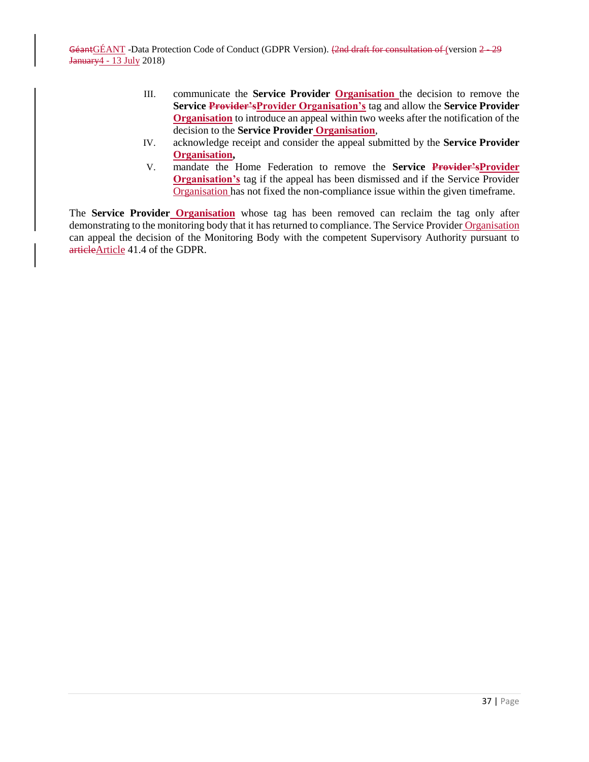- III. communicate the **Service Provider Organisation** the decision to remove the **Service Provider'sProvider Organisation's** tag and allow the **Service Provider Organisation** to introduce an appeal within two weeks after the notification of the decision to the **Service Provider Organisation**,
- IV. acknowledge receipt and consider the appeal submitted by the **Service Provider Organisation,**
- V. mandate the Home Federation to remove the **Service Provider'sProvider Organisation's** tag if the appeal has been dismissed and if the Service Provider Organisation has not fixed the non-compliance issue within the given timeframe.

The **Service Provider Organisation** whose tag has been removed can reclaim the tag only after demonstrating to the monitoring body that it has returned to compliance. The Service Provider Organisation can appeal the decision of the Monitoring Body with the competent Supervisory Authority pursuant to articleArticle 41.4 of the GDPR.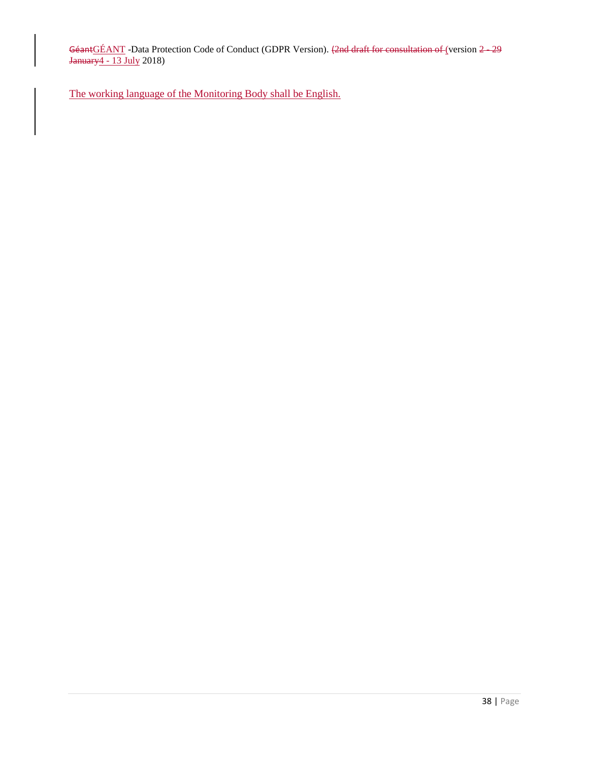The working language of the Monitoring Body shall be English.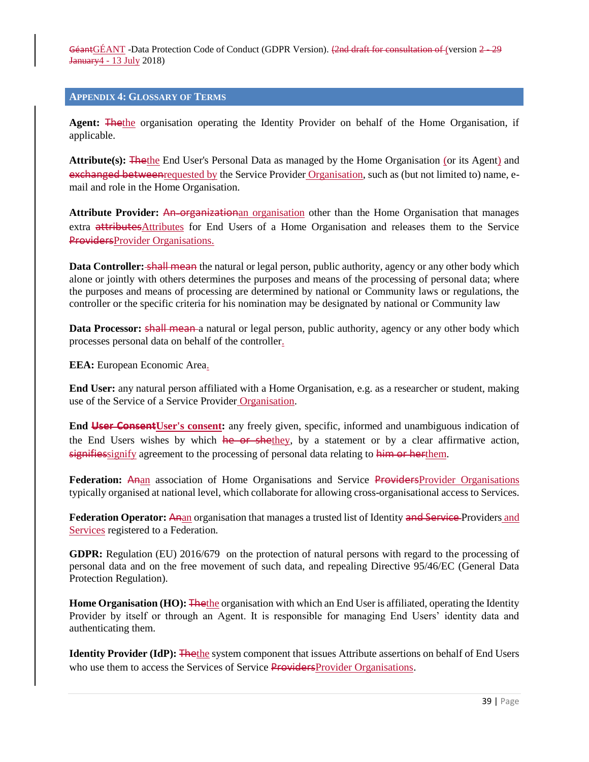#### <span id="page-38-0"></span>**APPENDIX 4: GLOSSARY OF TERMS**

**Agent:** Thethe organisation operating the Identity Provider on behalf of the Home Organisation, if applicable.

**Attribute(s):** Thethe End User's Personal Data as managed by the Home Organisation (or its Agent) and exchanged betweenrequested by the Service Provider Organisation, such as (but not limited to) name, email and role in the Home Organisation.

**Attribute Provider: An organization** organisation other than the Home Organisation that manages extra attributesAttributes for End Users of a Home Organisation and releases them to the Service ProvidersProvider Organisations.

**Data Controller:** shall mean the natural or legal person, public authority, agency or any other body which alone or jointly with others determines the purposes and means of the processing of personal data; where the purposes and means of processing are determined by national or Community laws or regulations, the controller or the specific criteria for his nomination may be designated by national or Community law

**Data Processor:** shall mean a natural or legal person, public authority, agency or any other body which processes personal data on behalf of the controller.

**EEA:** European Economic Area.

**End User:** any natural person affiliated with a Home Organisation, e.g. as a researcher or student, making use of the Service of a Service Provider Organisation.

**End User ConsentUser's consent:** any freely given, specific, informed and unambiguous indication of the End Users wishes by which he or shethey, by a statement or by a clear affirmative action, signifiessignify agreement to the processing of personal data relating to him or herthem.

**Federation:** Anan association of Home Organisations and Service ProvidersProvider Organisations typically organised at national level, which collaborate for allowing cross-organisational access to Services.

**Federation Operator:** Anan organisation that manages a trusted list of Identity and Service Providers and Services registered to a Federation.

**GDPR:** Regulation (EU) 2016/679 on the protection of natural persons with regard to the processing of personal data and on the free movement of such data, and repealing Directive 95/46/EC (General Data Protection Regulation).

**Home Organisation (HO):** The the organisation with which an End User is affiliated, operating the Identity Provider by itself or through an Agent. It is responsible for managing End Users' identity data and authenticating them.

**Identity Provider (IdP):** The the system component that issues Attribute assertions on behalf of End Users who use them to access the Services of Service ProvidersProvider Organisations.